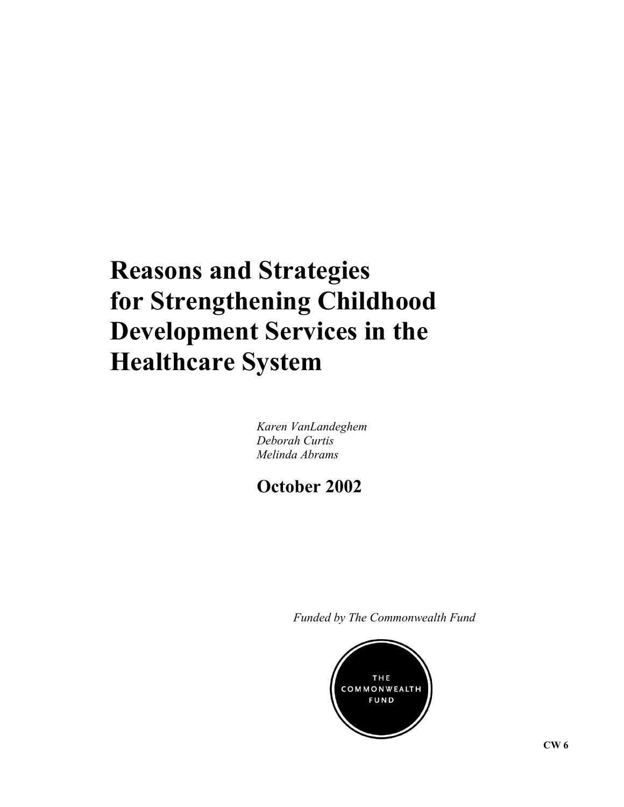# **Reasons and Strategies for Strengthening Childhood Development Services in the Healthcare System**

*Karen VanLandeghem Deborah Curtis Melinda Abrams* 

**October 2002**

*Funded by The Commonwealth Fund*

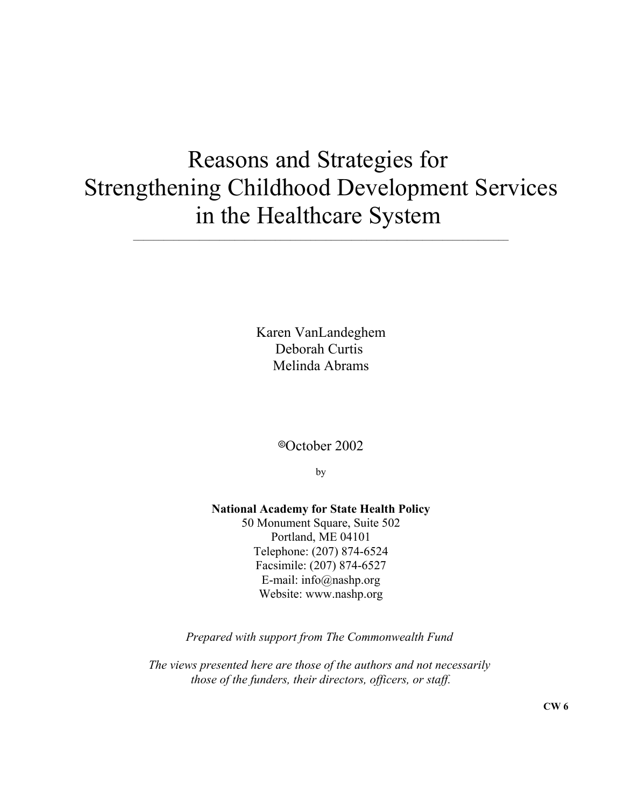## Reasons and Strategies for Strengthening Childhood Development Services in the Healthcare System  $\_$  , and the set of the set of the set of the set of the set of the set of the set of the set of the set of the set of the set of the set of the set of the set of the set of the set of the set of the set of the set of th

Karen VanLandeghem Deborah Curtis Melinda Abrams

8October 2002

by

**National Academy for State Health Policy** 50 Monument Square, Suite 502 Portland, ME 04101 Telephone: (207) 874-6524

Facsimile: (207) 874-6527 E-mail: info@nashp.org Website: www.nashp.org

*Prepared with support from The Commonwealth Fund* 

*The views presented here are those of the authors and not necessarily those of the funders, their directors, officers, or staff.*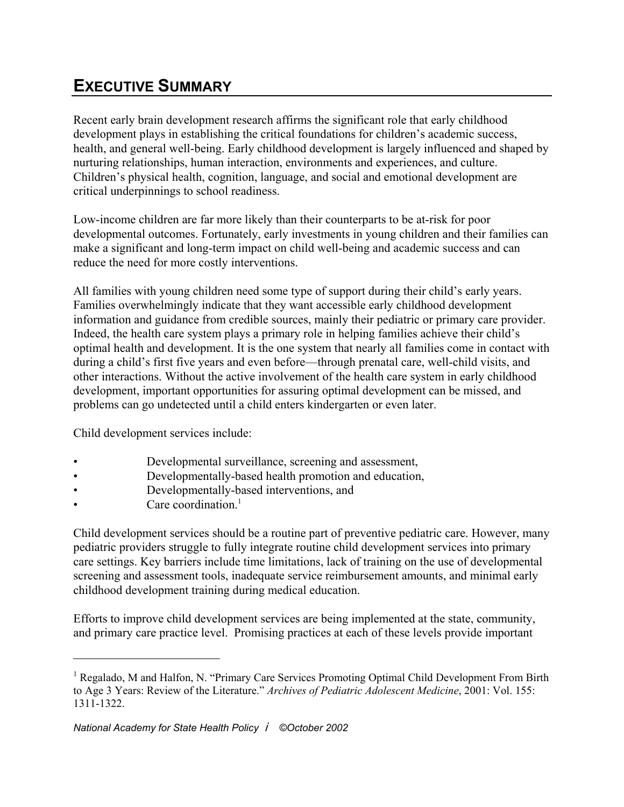## **EXECUTIVE SUMMARY**

Recent early brain development research affirms the significant role that early childhood development plays in establishing the critical foundations for children's academic success, health, and general well-being. Early childhood development is largely influenced and shaped by nurturing relationships, human interaction, environments and experiences, and culture. Children's physical health, cognition, language, and social and emotional development are critical underpinnings to school readiness.

Low-income children are far more likely than their counterparts to be at-risk for poor developmental outcomes. Fortunately, early investments in young children and their families can make a significant and long-term impact on child well-being and academic success and can reduce the need for more costly interventions.

All families with young children need some type of support during their child's early years. Families overwhelmingly indicate that they want accessible early childhood development information and guidance from credible sources, mainly their pediatric or primary care provider. Indeed, the health care system plays a primary role in helping families achieve their child's optimal health and development. It is the one system that nearly all families come in contact with during a child's first five years and even before—through prenatal care, well-child visits, and other interactions. Without the active involvement of the health care system in early childhood development, important opportunities for assuring optimal development can be missed, and problems can go undetected until a child enters kindergarten or even later.

Child development services include:

- Developmental surveillance, screening and assessment,
- Developmentally-based health promotion and education,
- Developmentally-based interventions, and
- Care coordination. $<sup>1</sup>$ </sup>

Child development services should be a routine part of preventive pediatric care. However, many pediatric providers struggle to fully integrate routine child development services into primary care settings. Key barriers include time limitations, lack of training on the use of developmental screening and assessment tools, inadequate service reimbursement amounts, and minimal early childhood development training during medical education.

Efforts to improve child development services are being implemented at the state, community, and primary care practice level. Promising practices at each of these levels provide important

<sup>&</sup>lt;sup>1</sup> Regalado, M and Halfon, N. "Primary Care Services Promoting Optimal Child Development From Birth to Age 3 Years: Review of the Literature." *Archives of Pediatric Adolescent Medicine*, 2001: Vol. 155: 1311-1322.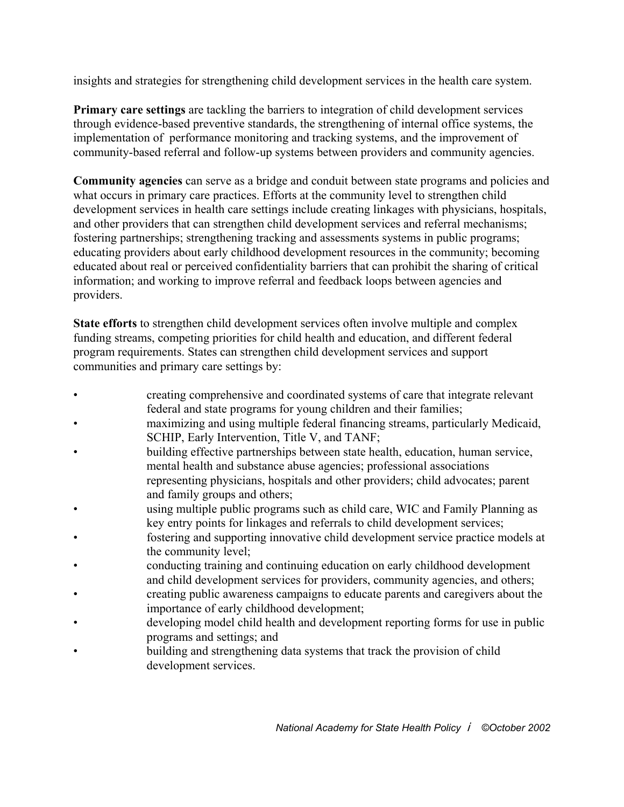insights and strategies for strengthening child development services in the health care system.

**Primary care settings** are tackling the barriers to integration of child development services through evidence-based preventive standards, the strengthening of internal office systems, the implementation of performance monitoring and tracking systems, and the improvement of community-based referral and follow-up systems between providers and community agencies.

**Community agencies** can serve as a bridge and conduit between state programs and policies and what occurs in primary care practices. Efforts at the community level to strengthen child development services in health care settings include creating linkages with physicians, hospitals, and other providers that can strengthen child development services and referral mechanisms; fostering partnerships; strengthening tracking and assessments systems in public programs; educating providers about early childhood development resources in the community; becoming educated about real or perceived confidentiality barriers that can prohibit the sharing of critical information; and working to improve referral and feedback loops between agencies and providers.

**State efforts** to strengthen child development services often involve multiple and complex funding streams, competing priorities for child health and education, and different federal program requirements. States can strengthen child development services and support communities and primary care settings by:

- creating comprehensive and coordinated systems of care that integrate relevant federal and state programs for young children and their families;
- maximizing and using multiple federal financing streams, particularly Medicaid, SCHIP, Early Intervention, Title V, and TANF;
- building effective partnerships between state health, education, human service, mental health and substance abuse agencies; professional associations representing physicians, hospitals and other providers; child advocates; parent and family groups and others;
- using multiple public programs such as child care, WIC and Family Planning as key entry points for linkages and referrals to child development services;
- fostering and supporting innovative child development service practice models at the community level;
- conducting training and continuing education on early childhood development and child development services for providers, community agencies, and others;
- creating public awareness campaigns to educate parents and caregivers about the importance of early childhood development;
- developing model child health and development reporting forms for use in public programs and settings; and
- building and strengthening data systems that track the provision of child development services.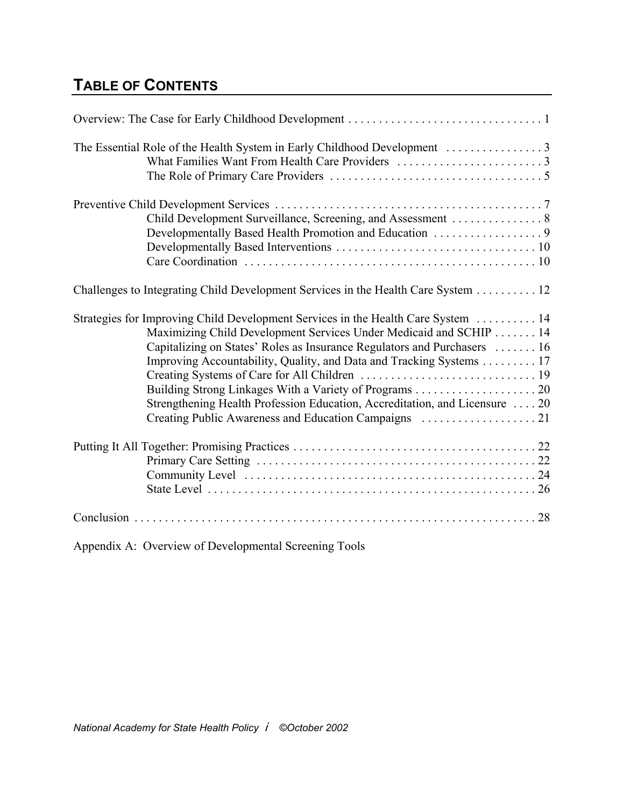## **TABLE OF CONTENTS**

| Challenges to Integrating Child Development Services in the Health Care System 12                                                                                                                                                                                                                                                                                                        |
|------------------------------------------------------------------------------------------------------------------------------------------------------------------------------------------------------------------------------------------------------------------------------------------------------------------------------------------------------------------------------------------|
| Strategies for Improving Child Development Services in the Health Care System  14<br>Maximizing Child Development Services Under Medicaid and SCHIP 14<br>Capitalizing on States' Roles as Insurance Regulators and Purchasers  16<br>Improving Accountability, Quality, and Data and Tracking Systems 17<br>Strengthening Health Profession Education, Accreditation, and Licensure  20 |
|                                                                                                                                                                                                                                                                                                                                                                                          |
|                                                                                                                                                                                                                                                                                                                                                                                          |
|                                                                                                                                                                                                                                                                                                                                                                                          |
|                                                                                                                                                                                                                                                                                                                                                                                          |
|                                                                                                                                                                                                                                                                                                                                                                                          |

Appendix A: Overview of Developmental Screening Tools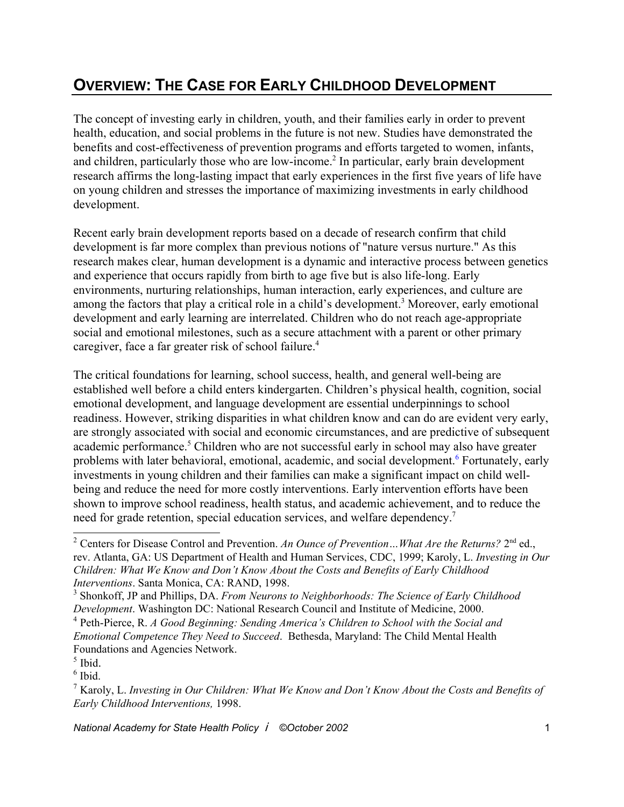## **OVERVIEW: THE CASE FOR EARLY CHILDHOOD DEVELOPMENT**

The concept of investing early in children, youth, and their families early in order to prevent health, education, and social problems in the future is not new. Studies have demonstrated the benefits and cost-effectiveness of prevention programs and efforts targeted to women, infants, and children, particularly those who are low-income.<sup>2</sup> In particular, early brain development research affirms the long-lasting impact that early experiences in the first five years of life have on young children and stresses the importance of maximizing investments in early childhood development.

Recent early brain development reports based on a decade of research confirm that child development is far more complex than previous notions of "nature versus nurture." As this research makes clear, human development is a dynamic and interactive process between genetics and experience that occurs rapidly from birth to age five but is also life-long. Early environments, nurturing relationships, human interaction, early experiences, and culture are among the factors that play a critical role in a child's development.<sup>3</sup> Moreover, early emotional development and early learning are interrelated. Children who do not reach age-appropriate social and emotional milestones, such as a secure attachment with a parent or other primary caregiver, face a far greater risk of school failure.<sup>4</sup>

The critical foundations for learning, school success, health, and general well-being are established well before a child enters kindergarten. Children's physical health, cognition, social emotional development, and language development are essential underpinnings to school readiness. However, striking disparities in what children know and can do are evident very early, are strongly associated with social and economic circumstances, and are predictive of subsequent academic performance.<sup>5</sup> Children who are not successful early in school may also have greater problems with later behavioral, emotional, academic, and social development.<sup>6</sup> Fortunately, early investments in young children and their families can make a significant impact on child wellbeing and reduce the need for more costly interventions. Early intervention efforts have been shown to improve school readiness, health status, and academic achievement, and to reduce the need for grade retention, special education services, and welfare dependency.<sup>7</sup>

<sup>&</sup>lt;sup>2</sup> Centers for Disease Control and Prevention. An Ounce of Prevention... What Are the Returns? 2<sup>nd</sup> ed., rev. Atlanta, GA: US Department of Health and Human Services, CDC, 1999; Karoly, L. *Investing in Our Children: What We Know and Don't Know About the Costs and Benefits of Early Childhood Interventions*. Santa Monica, CA: RAND, 1998.

<sup>3</sup> Shonkoff, JP and Phillips, DA. *From Neurons to Neighborhoods: The Science of Early Childhood Development*. Washington DC: National Research Council and Institute of Medicine, 2000.

<sup>4</sup> Peth-Pierce, R. *A Good Beginning: Sending America's Children to School with the Social and Emotional Competence They Need to Succeed*. Bethesda, Maryland: The Child Mental Health Foundations and Agencies Network.

 $<sup>5</sup>$  Ibid.</sup>

<sup>6</sup> Ibid.

<sup>7</sup> Karoly, L. *Investing in Our Children: What We Know and Don't Know About the Costs and Benefits of Early Childhood Interventions,* 1998.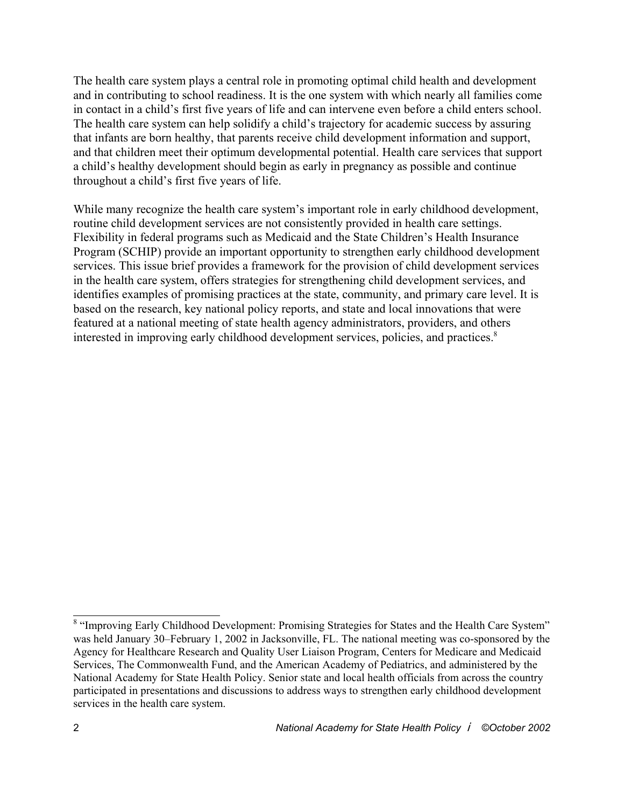The health care system plays a central role in promoting optimal child health and development and in contributing to school readiness. It is the one system with which nearly all families come in contact in a child's first five years of life and can intervene even before a child enters school. The health care system can help solidify a child's trajectory for academic success by assuring that infants are born healthy, that parents receive child development information and support, and that children meet their optimum developmental potential. Health care services that support a child's healthy development should begin as early in pregnancy as possible and continue throughout a child's first five years of life.

While many recognize the health care system's important role in early childhood development, routine child development services are not consistently provided in health care settings. Flexibility in federal programs such as Medicaid and the State Children's Health Insurance Program (SCHIP) provide an important opportunity to strengthen early childhood development services. This issue brief provides a framework for the provision of child development services in the health care system, offers strategies for strengthening child development services, and identifies examples of promising practices at the state, community, and primary care level. It is based on the research, key national policy reports, and state and local innovations that were featured at a national meeting of state health agency administrators, providers, and others interested in improving early childhood development services, policies, and practices.<sup>8</sup>

<sup>&</sup>lt;sup>8</sup> "Improving Early Childhood Development: Promising Strategies for States and the Health Care System" was held January 30–February 1, 2002 in Jacksonville, FL. The national meeting was co-sponsored by the Agency for Healthcare Research and Quality User Liaison Program, Centers for Medicare and Medicaid Services, The Commonwealth Fund, and the American Academy of Pediatrics, and administered by the National Academy for State Health Policy. Senior state and local health officials from across the country participated in presentations and discussions to address ways to strengthen early childhood development services in the health care system.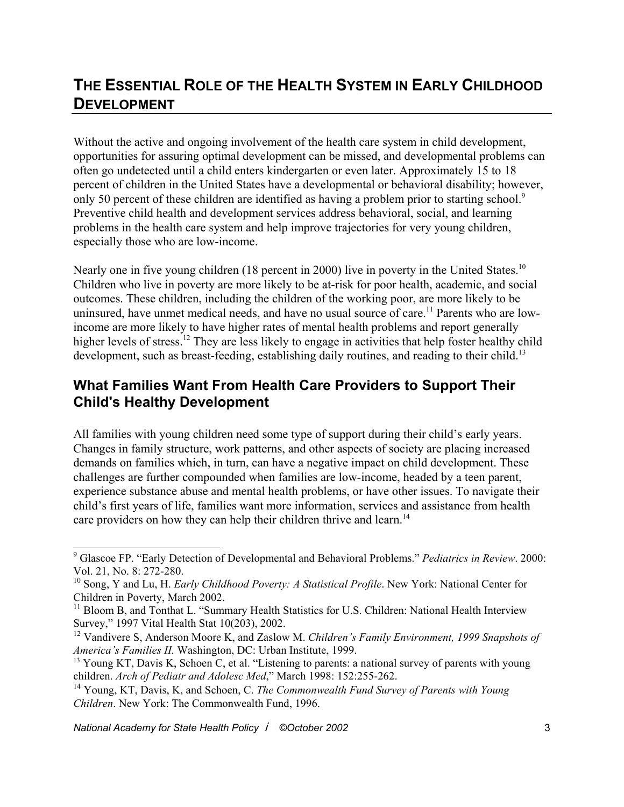### **THE ESSENTIAL ROLE OF THE HEALTH SYSTEM IN EARLY CHILDHOOD DEVELOPMENT**

Without the active and ongoing involvement of the health care system in child development, opportunities for assuring optimal development can be missed, and developmental problems can often go undetected until a child enters kindergarten or even later. Approximately 15 to 18 percent of children in the United States have a developmental or behavioral disability; however, only 50 percent of these children are identified as having a problem prior to starting school.<sup>9</sup> Preventive child health and development services address behavioral, social, and learning problems in the health care system and help improve trajectories for very young children, especially those who are low-income.

Nearly one in five young children (18 percent in 2000) live in poverty in the United States.<sup>10</sup> Children who live in poverty are more likely to be at-risk for poor health, academic, and social outcomes. These children, including the children of the working poor, are more likely to be uninsured, have unmet medical needs, and have no usual source of care.<sup>11</sup> Parents who are lowincome are more likely to have higher rates of mental health problems and report generally higher levels of stress.<sup>12</sup> They are less likely to engage in activities that help foster healthy child development, such as breast-feeding, establishing daily routines, and reading to their child.<sup>13</sup>

#### **What Families Want From Health Care Providers to Support Their Child's Healthy Development**

All families with young children need some type of support during their child's early years. Changes in family structure, work patterns, and other aspects of society are placing increased demands on families which, in turn, can have a negative impact on child development. These challenges are further compounded when families are low-income, headed by a teen parent, experience substance abuse and mental health problems, or have other issues. To navigate their child's first years of life, families want more information, services and assistance from health care providers on how they can help their children thrive and learn.<sup>14</sup>

<sup>9</sup> Glascoe FP. "Early Detection of Developmental and Behavioral Problems." *Pediatrics in Review*. 2000: Vol. 21, No. 8: 272-280.

<sup>10</sup> Song, Y and Lu, H. *Early Childhood Poverty: A Statistical Profile*. New York: National Center for Children in Poverty, March 2002.

<sup>&</sup>lt;sup>11</sup> Bloom B, and Tonthat L. "Summary Health Statistics for U.S. Children: National Health Interview Survey," 1997 Vital Health Stat 10(203), 2002.

<sup>12</sup> Vandivere S, Anderson Moore K, and Zaslow M. *Children's Family Environment, 1999 Snapshots of America's Families II.* Washington, DC: Urban Institute, 1999.

<sup>&</sup>lt;sup>13</sup> Young KT, Davis K, Schoen C, et al. "Listening to parents: a national survey of parents with young children. *Arch of Pediatr and Adolesc Med*," March 1998: 152:255-262.

<sup>14</sup> Young, KT, Davis, K, and Schoen, C. *The Commonwealth Fund Survey of Parents with Young Children*. New York: The Commonwealth Fund, 1996.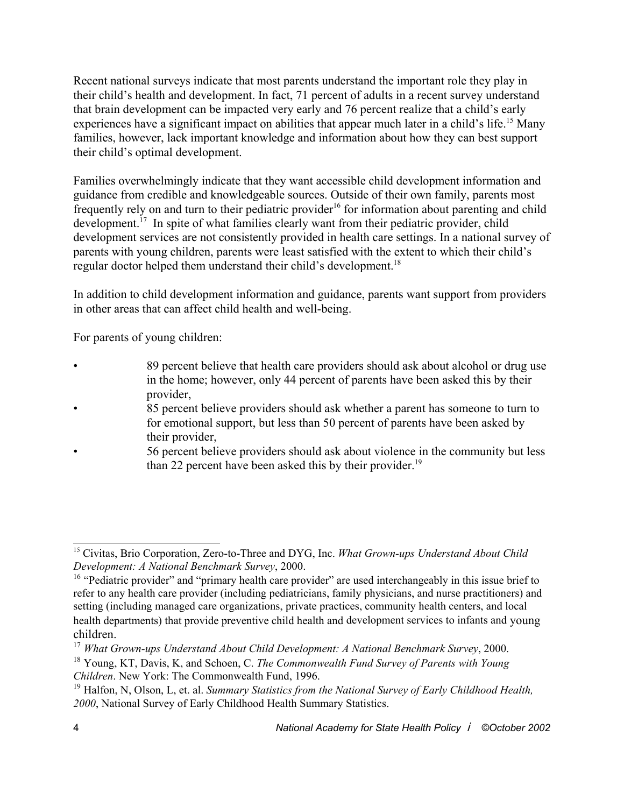Recent national surveys indicate that most parents understand the important role they play in their child's health and development. In fact, 71 percent of adults in a recent survey understand that brain development can be impacted very early and 76 percent realize that a child's early experiences have a significant impact on abilities that appear much later in a child's life.<sup>15</sup> Many families, however, lack important knowledge and information about how they can best support their child's optimal development.

Families overwhelmingly indicate that they want accessible child development information and guidance from credible and knowledgeable sources. Outside of their own family, parents most frequently rely on and turn to their pediatric provider<sup>16</sup> for information about parenting and child development.<sup>17</sup> In spite of what families clearly want from their pediatric provider, child development services are not consistently provided in health care settings. In a national survey of parents with young children, parents were least satisfied with the extent to which their child's regular doctor helped them understand their child's development.<sup>18</sup>

In addition to child development information and guidance, parents want support from providers in other areas that can affect child health and well-being.

For parents of young children:

- 89 percent believe that health care providers should ask about alcohol or drug use in the home; however, only 44 percent of parents have been asked this by their provider,
- 85 percent believe providers should ask whether a parent has someone to turn to for emotional support, but less than 50 percent of parents have been asked by their provider,
- 56 percent believe providers should ask about violence in the community but less than 22 percent have been asked this by their provider.<sup>19</sup>

<sup>15</sup> Civitas, Brio Corporation, Zero-to-Three and DYG, Inc. *What Grown-ups Understand About Child Development: A National Benchmark Survey*, 2000.

<sup>&</sup>lt;sup>16</sup> "Pediatric provider" and "primary health care provider" are used interchangeably in this issue brief to refer to any health care provider (including pediatricians, family physicians, and nurse practitioners) and setting (including managed care organizations, private practices, community health centers, and local health departments) that provide preventive child health and development services to infants and young children.

<sup>17</sup> *What Grown-ups Understand About Child Development: A National Benchmark Survey*, 2000.

<sup>18</sup> Young, KT, Davis, K, and Schoen, C. *The Commonwealth Fund Survey of Parents with Young Children*. New York: The Commonwealth Fund, 1996.

<sup>19</sup> Halfon, N, Olson, L, et. al. *Summary Statistics from the National Survey of Early Childhood Health, 2000*, National Survey of Early Childhood Health Summary Statistics.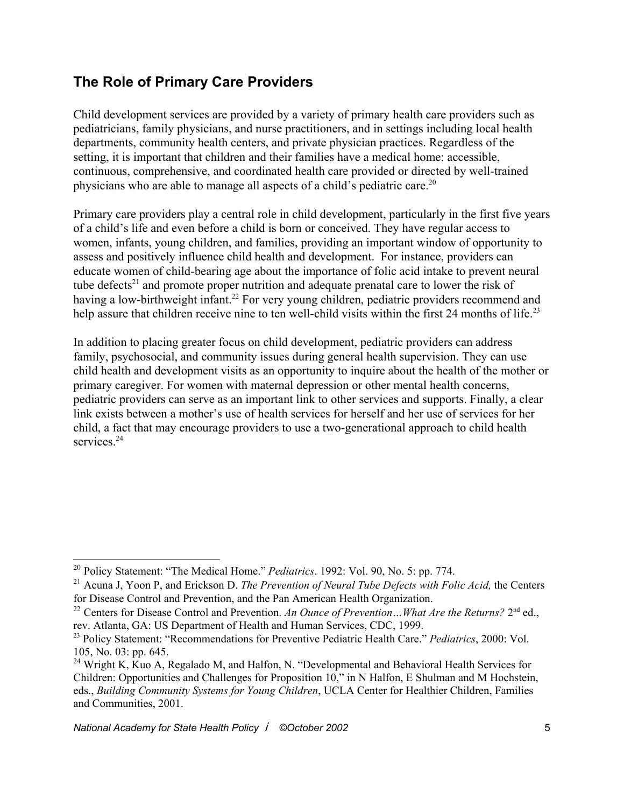#### **The Role of Primary Care Providers**

Child development services are provided by a variety of primary health care providers such as pediatricians, family physicians, and nurse practitioners, and in settings including local health departments, community health centers, and private physician practices. Regardless of the setting, it is important that children and their families have a medical home: accessible, continuous, comprehensive, and coordinated health care provided or directed by well-trained physicians who are able to manage all aspects of a child's pediatric care.20

Primary care providers play a central role in child development, particularly in the first five years of a child's life and even before a child is born or conceived. They have regular access to women, infants, young children, and families, providing an important window of opportunity to assess and positively influence child health and development. For instance, providers can educate women of child-bearing age about the importance of folic acid intake to prevent neural tube defects<sup>21</sup> and promote proper nutrition and adequate prenatal care to lower the risk of having a low-birthweight infant.<sup>22</sup> For very young children, pediatric providers recommend and help assure that children receive nine to ten well-child visits within the first 24 months of life.<sup>23</sup>

In addition to placing greater focus on child development, pediatric providers can address family, psychosocial, and community issues during general health supervision. They can use child health and development visits as an opportunity to inquire about the health of the mother or primary caregiver. For women with maternal depression or other mental health concerns, pediatric providers can serve as an important link to other services and supports. Finally, a clear link exists between a mother's use of health services for herself and her use of services for her child, a fact that may encourage providers to use a two-generational approach to child health services.<sup>24</sup>

<sup>20</sup> Policy Statement: "The Medical Home." *Pediatrics*. 1992: Vol. 90, No. 5: pp. 774.

<sup>21</sup> Acuna J, Yoon P, and Erickson D. *The Prevention of Neural Tube Defects with Folic Acid,* the Centers for Disease Control and Prevention, and the Pan American Health Organization.

<sup>&</sup>lt;sup>22</sup> Centers for Disease Control and Prevention. An Ounce of Prevention... What Are the Returns? 2<sup>nd</sup> ed., rev. Atlanta, GA: US Department of Health and Human Services, CDC, 1999.

<sup>23</sup> Policy Statement: "Recommendations for Preventive Pediatric Health Care." *Pediatrics*, 2000: Vol. 105, No. 03: pp. 645.

<sup>&</sup>lt;sup>24</sup> Wright K, Kuo A, Regalado M, and Halfon, N. "Developmental and Behavioral Health Services for Children: Opportunities and Challenges for Proposition 10," in N Halfon, E Shulman and M Hochstein, eds., *Building Community Systems for Young Children*, UCLA Center for Healthier Children, Families and Communities, 2001.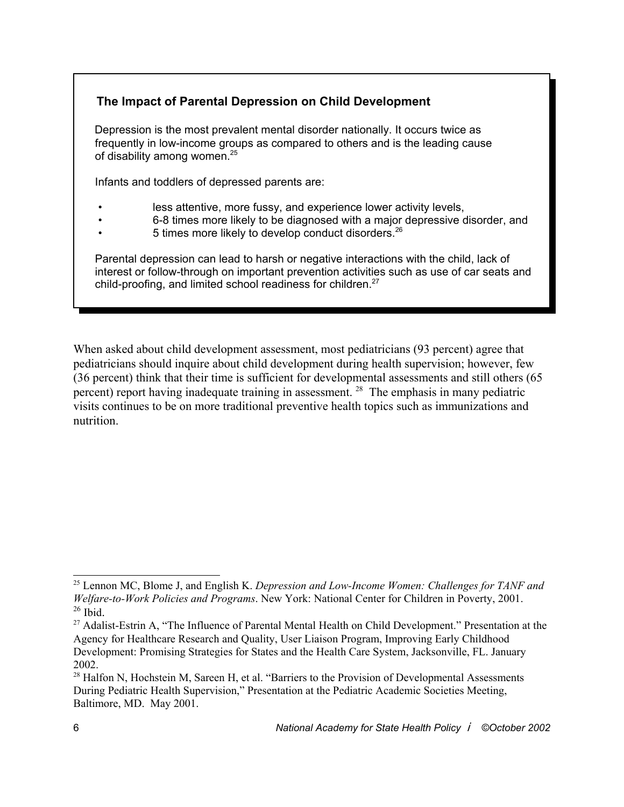#### **The Impact of Parental Depression on Child Development**

 Depression is the most prevalent mental disorder nationally. It occurs twice as frequently in low-income groups as compared to others and is the leading cause of disability among women.<sup>25</sup>

Infants and toddlers of depressed parents are:

- less attentive, more fussy, and experience lower activity levels,
- 6-8 times more likely to be diagnosed with a major depressive disorder, and
- 5 times more likely to develop conduct disorders.<sup>26</sup>

 Parental depression can lead to harsh or negative interactions with the child, lack of interest or follow-through on important prevention activities such as use of car seats and child-proofing, and limited school readiness for children.<sup>27</sup>

When asked about child development assessment, most pediatricians (93 percent) agree that pediatricians should inquire about child development during health supervision; however, few (36 percent) think that their time is sufficient for developmental assessments and still others (65 percent) report having inadequate training in assessment. 28 The emphasis in many pediatric visits continues to be on more traditional preventive health topics such as immunizations and nutrition.

<sup>25</sup> Lennon MC, Blome J, and English K. *Depression and Low-Income Women: Challenges for TANF and Welfare-to-Work Policies and Programs*. New York: National Center for Children in Poverty, 2001.  $26$  Ibid.

<sup>&</sup>lt;sup>27</sup> Adalist-Estrin A, "The Influence of Parental Mental Health on Child Development." Presentation at the Agency for Healthcare Research and Quality, User Liaison Program, Improving Early Childhood Development: Promising Strategies for States and the Health Care System, Jacksonville, FL. January 2002.

<sup>&</sup>lt;sup>28</sup> Halfon N, Hochstein M, Sareen H, et al. "Barriers to the Provision of Developmental Assessments During Pediatric Health Supervision," Presentation at the Pediatric Academic Societies Meeting, Baltimore, MD. May 2001.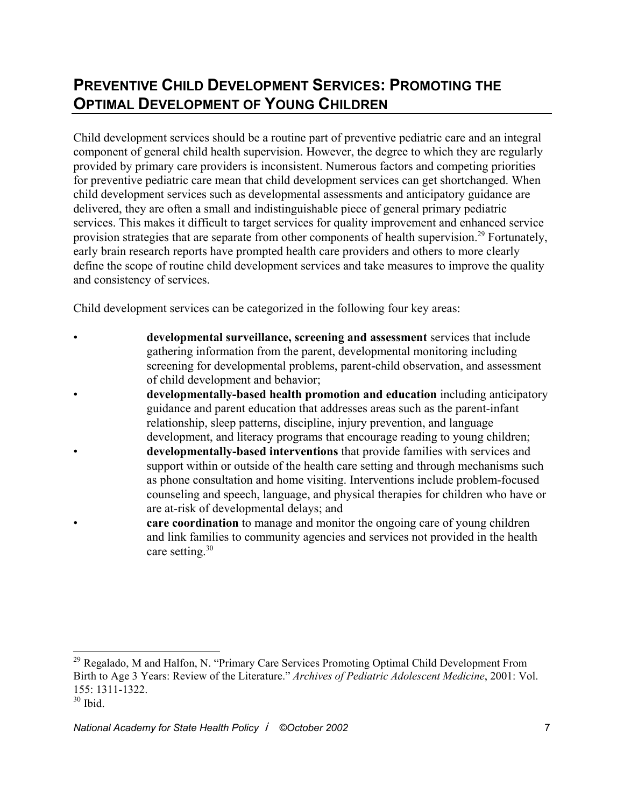## **PREVENTIVE CHILD DEVELOPMENT SERVICES: PROMOTING THE OPTIMAL DEVELOPMENT OF YOUNG CHILDREN**

Child development services should be a routine part of preventive pediatric care and an integral component of general child health supervision. However, the degree to which they are regularly provided by primary care providers is inconsistent. Numerous factors and competing priorities for preventive pediatric care mean that child development services can get shortchanged. When child development services such as developmental assessments and anticipatory guidance are delivered, they are often a small and indistinguishable piece of general primary pediatric services. This makes it difficult to target services for quality improvement and enhanced service provision strategies that are separate from other components of health supervision.<sup>29</sup> Fortunately, early brain research reports have prompted health care providers and others to more clearly define the scope of routine child development services and take measures to improve the quality and consistency of services.

Child development services can be categorized in the following four key areas:

- **developmental surveillance, screening and assessment** services that include gathering information from the parent, developmental monitoring including screening for developmental problems, parent-child observation, and assessment of child development and behavior;
- **developmentally-based health promotion and education** including anticipatory guidance and parent education that addresses areas such as the parent-infant relationship, sleep patterns, discipline, injury prevention, and language development, and literacy programs that encourage reading to young children;
- **developmentally-based interventions** that provide families with services and support within or outside of the health care setting and through mechanisms such as phone consultation and home visiting. Interventions include problem-focused counseling and speech, language, and physical therapies for children who have or are at-risk of developmental delays; and
	- **care coordination** to manage and monitor the ongoing care of young children and link families to community agencies and services not provided in the health care setting.<sup>30</sup>

<sup>&</sup>lt;sup>29</sup> Regalado, M and Halfon, N. "Primary Care Services Promoting Optimal Child Development From Birth to Age 3 Years: Review of the Literature." *Archives of Pediatric Adolescent Medicine*, 2001: Vol. 155: 1311-1322.

 $30$  Ibid.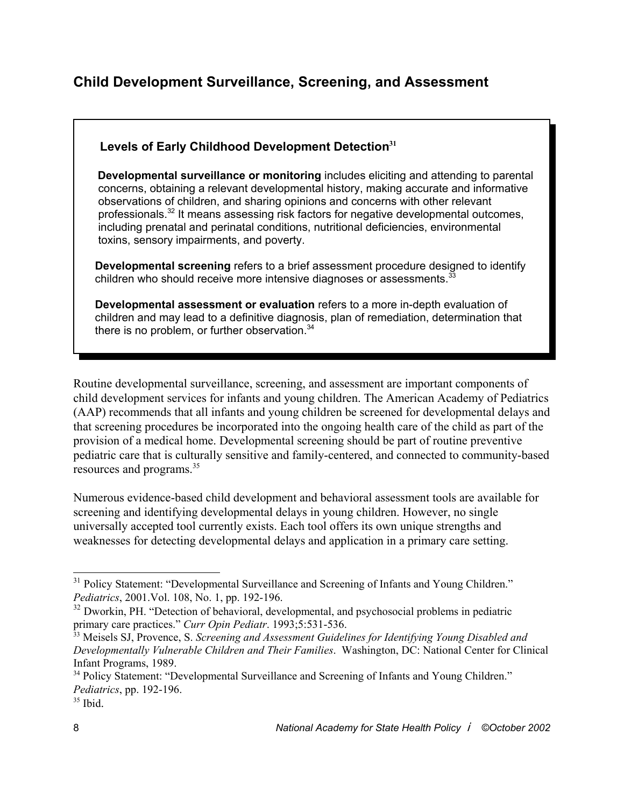#### **Child Development Surveillance, Screening, and Assessment**

#### **Levels of Early Childhood Development Detection<sup>31</sup>**

 **Developmental surveillance or monitoring** includes eliciting and attending to parental concerns, obtaining a relevant developmental history, making accurate and informative observations of children, and sharing opinions and concerns with other relevant professionals.32 It means assessing risk factors for negative developmental outcomes, including prenatal and perinatal conditions, nutritional deficiencies, environmental toxins, sensory impairments, and poverty.

 **Developmental screening** refers to a brief assessment procedure designed to identify children who should receive more intensive diagnoses or assessments.<sup>33</sup>

 **Developmental assessment or evaluation** refers to a more in-depth evaluation of children and may lead to a definitive diagnosis, plan of remediation, determination that there is no problem, or further observation.<sup>34</sup>

Routine developmental surveillance, screening, and assessment are important components of child development services for infants and young children. The American Academy of Pediatrics (AAP) recommends that all infants and young children be screened for developmental delays and that screening procedures be incorporated into the ongoing health care of the child as part of the provision of a medical home. Developmental screening should be part of routine preventive pediatric care that is culturally sensitive and family-centered, and connected to community-based resources and programs.35

Numerous evidence-based child development and behavioral assessment tools are available for screening and identifying developmental delays in young children. However, no single universally accepted tool currently exists. Each tool offers its own unique strengths and weaknesses for detecting developmental delays and application in a primary care setting.

<sup>&</sup>lt;sup>31</sup> Policy Statement: "Developmental Surveillance and Screening of Infants and Young Children." *Pediatrics*, 2001.Vol. 108, No. 1, pp. 192-196.

<sup>&</sup>lt;sup>32</sup> Dworkin, PH. "Detection of behavioral, developmental, and psychosocial problems in pediatric primary care practices." *Curr Opin Pediatr*. 1993;5:531-536.

<sup>33</sup> Meisels SJ, Provence, S. *Screening and Assessment Guidelines for Identifying Young Disabled and Developmentally Vulnerable Children and Their Families*. Washington, DC: National Center for Clinical Infant Programs, 1989.

<sup>&</sup>lt;sup>34</sup> Policy Statement: "Developmental Surveillance and Screening of Infants and Young Children." *Pediatrics*, pp. 192-196.

 $35$  Ibid.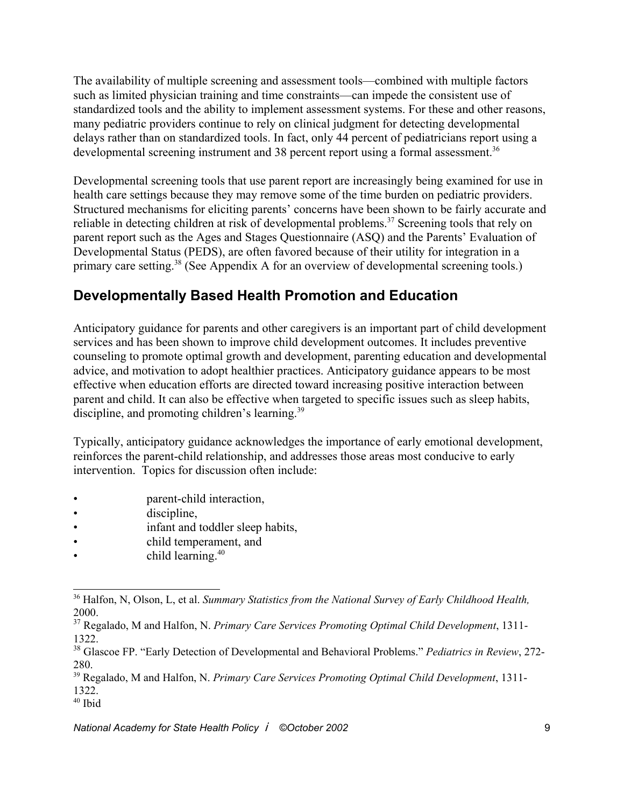The availability of multiple screening and assessment tools—combined with multiple factors such as limited physician training and time constraints—can impede the consistent use of standardized tools and the ability to implement assessment systems. For these and other reasons, many pediatric providers continue to rely on clinical judgment for detecting developmental delays rather than on standardized tools. In fact, only 44 percent of pediatricians report using a developmental screening instrument and 38 percent report using a formal assessment.<sup>36</sup>

Developmental screening tools that use parent report are increasingly being examined for use in health care settings because they may remove some of the time burden on pediatric providers. Structured mechanisms for eliciting parents' concerns have been shown to be fairly accurate and reliable in detecting children at risk of developmental problems.<sup>37</sup> Screening tools that rely on parent report such as the Ages and Stages Questionnaire (ASQ) and the Parents' Evaluation of Developmental Status (PEDS), are often favored because of their utility for integration in a primary care setting.38 (See Appendix A for an overview of developmental screening tools.)

### **Developmentally Based Health Promotion and Education**

Anticipatory guidance for parents and other caregivers is an important part of child development services and has been shown to improve child development outcomes. It includes preventive counseling to promote optimal growth and development, parenting education and developmental advice, and motivation to adopt healthier practices. Anticipatory guidance appears to be most effective when education efforts are directed toward increasing positive interaction between parent and child. It can also be effective when targeted to specific issues such as sleep habits, discipline, and promoting children's learning.<sup>39</sup>

Typically, anticipatory guidance acknowledges the importance of early emotional development, reinforces the parent-child relationship, and addresses those areas most conducive to early intervention. Topics for discussion often include:

- **parent-child interaction**,
- discipline,
- infant and toddler sleep habits,
- child temperament, and
- $\bullet$  child learning.<sup>40</sup>

<sup>36</sup> Halfon, N, Olson, L, et al. *Summary Statistics from the National Survey of Early Childhood Health,* 2000.

<sup>37</sup> Regalado, M and Halfon, N. *Primary Care Services Promoting Optimal Child Development*, 1311- 1322.

<sup>38</sup> Glascoe FP. "Early Detection of Developmental and Behavioral Problems." *Pediatrics in Review*, 272- 280.

<sup>39</sup> Regalado, M and Halfon, N. *Primary Care Services Promoting Optimal Child Development*, 1311- 1322.

 $40$  Ibid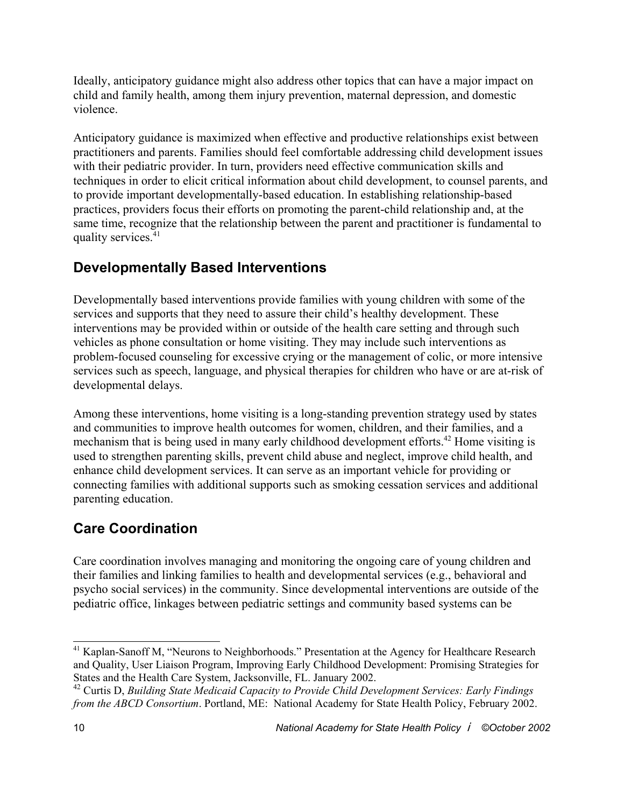Ideally, anticipatory guidance might also address other topics that can have a major impact on child and family health, among them injury prevention, maternal depression, and domestic violence.

Anticipatory guidance is maximized when effective and productive relationships exist between practitioners and parents. Families should feel comfortable addressing child development issues with their pediatric provider. In turn, providers need effective communication skills and techniques in order to elicit critical information about child development, to counsel parents, and to provide important developmentally-based education. In establishing relationship-based practices, providers focus their efforts on promoting the parent-child relationship and, at the same time, recognize that the relationship between the parent and practitioner is fundamental to quality services.<sup>41</sup>

### **Developmentally Based Interventions**

Developmentally based interventions provide families with young children with some of the services and supports that they need to assure their child's healthy development. These interventions may be provided within or outside of the health care setting and through such vehicles as phone consultation or home visiting. They may include such interventions as problem-focused counseling for excessive crying or the management of colic, or more intensive services such as speech, language, and physical therapies for children who have or are at-risk of developmental delays.

Among these interventions, home visiting is a long-standing prevention strategy used by states and communities to improve health outcomes for women, children, and their families, and a mechanism that is being used in many early childhood development efforts.<sup>42</sup> Home visiting is used to strengthen parenting skills, prevent child abuse and neglect, improve child health, and enhance child development services. It can serve as an important vehicle for providing or connecting families with additional supports such as smoking cessation services and additional parenting education.

### **Care Coordination**

Care coordination involves managing and monitoring the ongoing care of young children and their families and linking families to health and developmental services (e.g., behavioral and psycho social services) in the community. Since developmental interventions are outside of the pediatric office, linkages between pediatric settings and community based systems can be

<sup>&</sup>lt;sup>41</sup> Kaplan-Sanoff M, "Neurons to Neighborhoods." Presentation at the Agency for Healthcare Research and Quality, User Liaison Program, Improving Early Childhood Development: Promising Strategies for States and the Health Care System, Jacksonville, FL. January 2002.

<sup>42</sup> Curtis D, *Building State Medicaid Capacity to Provide Child Development Services: Early Findings from the ABCD Consortium*. Portland, ME: National Academy for State Health Policy, February 2002.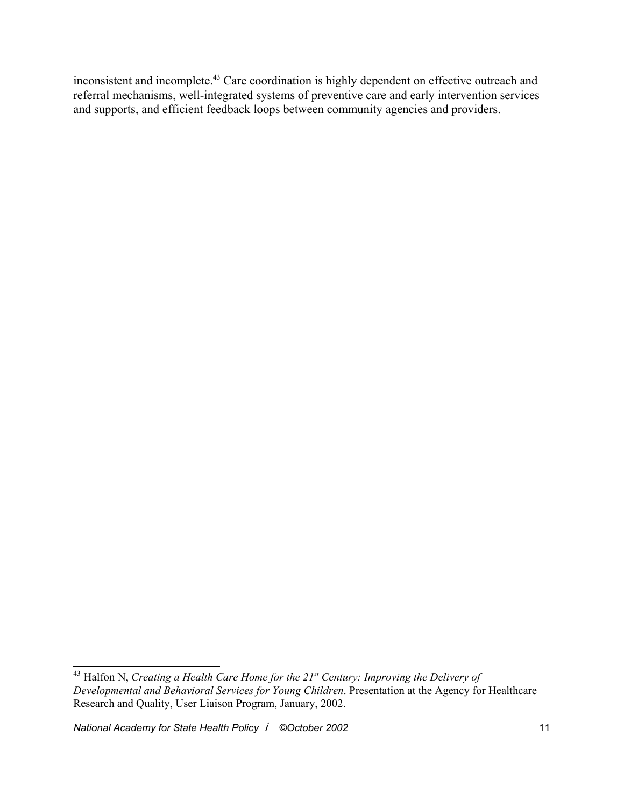inconsistent and incomplete.43 Care coordination is highly dependent on effective outreach and referral mechanisms, well-integrated systems of preventive care and early intervention services and supports, and efficient feedback loops between community agencies and providers.

<sup>43</sup> Halfon N, *Creating a Health Care Home for the 21st Century: Improving the Delivery of Developmental and Behavioral Services for Young Children*. Presentation at the Agency for Healthcare Research and Quality, User Liaison Program, January, 2002.

*National Academy for State Health Policy* i *©October 2002* 11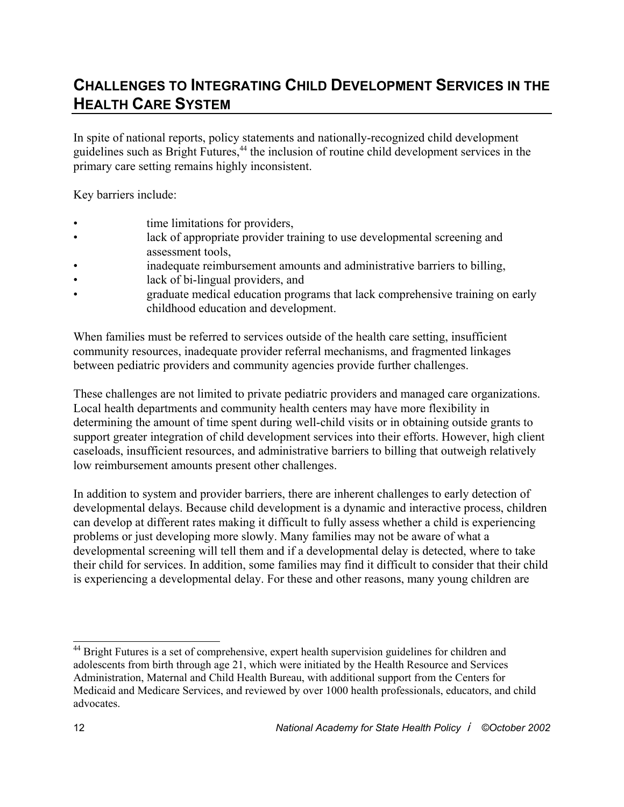### **CHALLENGES TO INTEGRATING CHILD DEVELOPMENT SERVICES IN THE HEALTH CARE SYSTEM**

In spite of national reports, policy statements and nationally-recognized child development guidelines such as Bright Futures,<sup>44</sup> the inclusion of routine child development services in the primary care setting remains highly inconsistent.

Key barriers include:

- time limitations for providers,
- lack of appropriate provider training to use developmental screening and assessment tools,
- inadequate reimbursement amounts and administrative barriers to billing,
- lack of bi-lingual providers, and
- graduate medical education programs that lack comprehensive training on early childhood education and development.

When families must be referred to services outside of the health care setting, insufficient community resources, inadequate provider referral mechanisms, and fragmented linkages between pediatric providers and community agencies provide further challenges.

These challenges are not limited to private pediatric providers and managed care organizations. Local health departments and community health centers may have more flexibility in determining the amount of time spent during well-child visits or in obtaining outside grants to support greater integration of child development services into their efforts. However, high client caseloads, insufficient resources, and administrative barriers to billing that outweigh relatively low reimbursement amounts present other challenges.

In addition to system and provider barriers, there are inherent challenges to early detection of developmental delays. Because child development is a dynamic and interactive process, children can develop at different rates making it difficult to fully assess whether a child is experiencing problems or just developing more slowly. Many families may not be aware of what a developmental screening will tell them and if a developmental delay is detected, where to take their child for services. In addition, some families may find it difficult to consider that their child is experiencing a developmental delay. For these and other reasons, many young children are

<sup>&</sup>lt;sup>44</sup> Bright Futures is a set of comprehensive, expert health supervision guidelines for children and adolescents from birth through age 21, which were initiated by the Health Resource and Services Administration, Maternal and Child Health Bureau, with additional support from the Centers for Medicaid and Medicare Services, and reviewed by over 1000 health professionals, educators, and child advocates.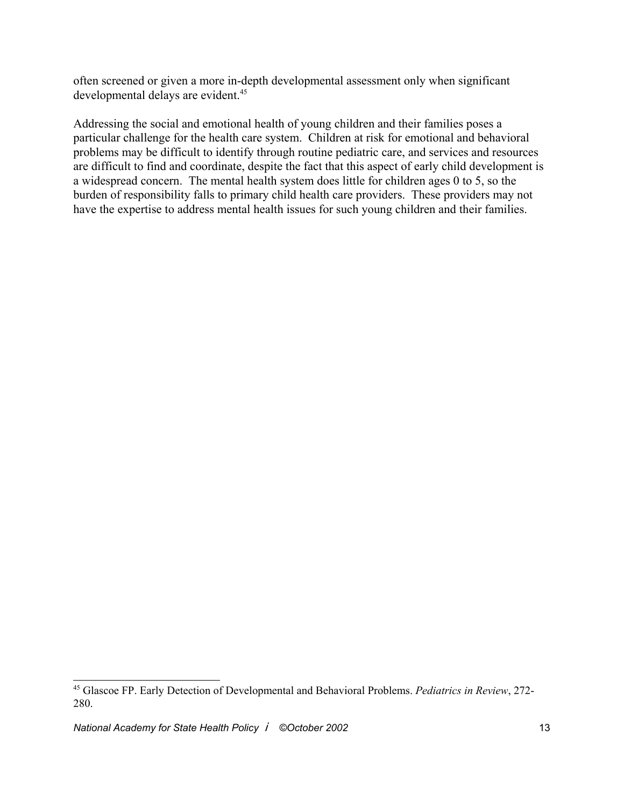often screened or given a more in-depth developmental assessment only when significant developmental delays are evident.<sup>45</sup>

Addressing the social and emotional health of young children and their families poses a particular challenge for the health care system. Children at risk for emotional and behavioral problems may be difficult to identify through routine pediatric care, and services and resources are difficult to find and coordinate, despite the fact that this aspect of early child development is a widespread concern. The mental health system does little for children ages 0 to 5, so the burden of responsibility falls to primary child health care providers. These providers may not have the expertise to address mental health issues for such young children and their families.

<sup>45</sup> Glascoe FP. Early Detection of Developmental and Behavioral Problems. *Pediatrics in Review*, 272- 280.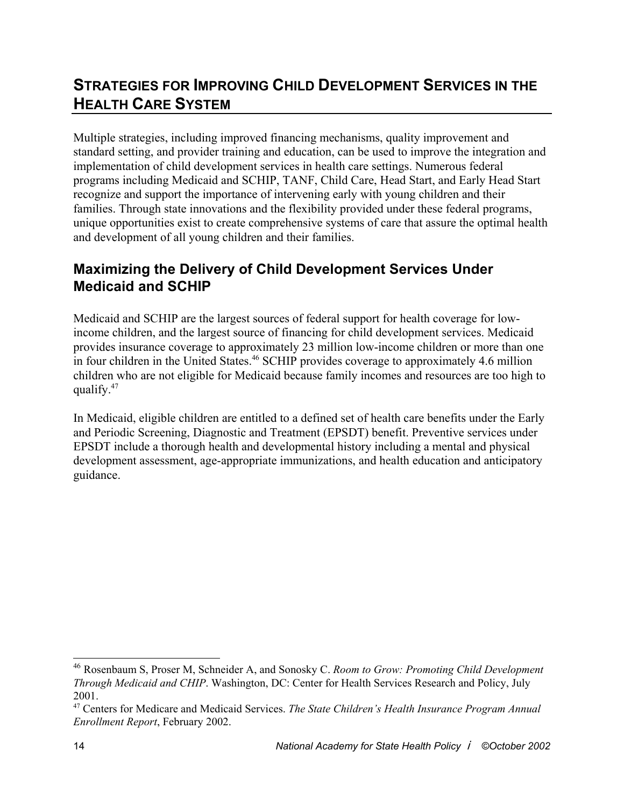## **STRATEGIES FOR IMPROVING CHILD DEVELOPMENT SERVICES IN THE HEALTH CARE SYSTEM**

Multiple strategies, including improved financing mechanisms, quality improvement and standard setting, and provider training and education, can be used to improve the integration and implementation of child development services in health care settings. Numerous federal programs including Medicaid and SCHIP, TANF, Child Care, Head Start, and Early Head Start recognize and support the importance of intervening early with young children and their families. Through state innovations and the flexibility provided under these federal programs, unique opportunities exist to create comprehensive systems of care that assure the optimal health and development of all young children and their families.

#### **Maximizing the Delivery of Child Development Services Under Medicaid and SCHIP**

Medicaid and SCHIP are the largest sources of federal support for health coverage for lowincome children, and the largest source of financing for child development services. Medicaid provides insurance coverage to approximately 23 million low-income children or more than one in four children in the United States.<sup>46</sup> SCHIP provides coverage to approximately 4.6 million children who are not eligible for Medicaid because family incomes and resources are too high to qualify. $47$ 

In Medicaid, eligible children are entitled to a defined set of health care benefits under the Early and Periodic Screening, Diagnostic and Treatment (EPSDT) benefit. Preventive services under EPSDT include a thorough health and developmental history including a mental and physical development assessment, age-appropriate immunizations, and health education and anticipatory guidance.

<sup>46</sup> Rosenbaum S, Proser M, Schneider A, and Sonosky C. *Room to Grow: Promoting Child Development Through Medicaid and CHIP*. Washington, DC: Center for Health Services Research and Policy, July 2001.

<sup>47</sup> Centers for Medicare and Medicaid Services. *The State Children's Health Insurance Program Annual Enrollment Report*, February 2002.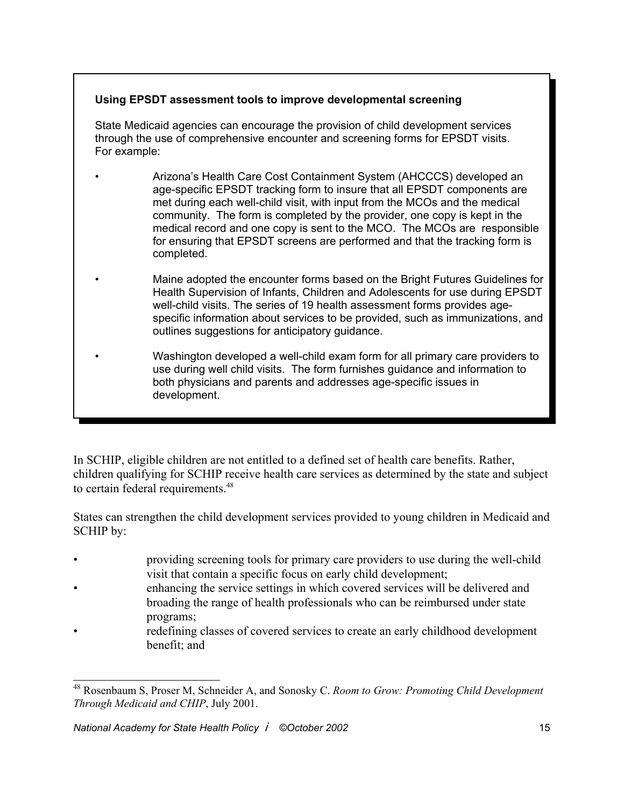#### **Using EPSDT assessment tools to improve developmental screening**

 State Medicaid agencies can encourage the provision of child development services through the use of comprehensive encounter and screening forms for EPSDT visits. For example:

- Arizona's Health Care Cost Containment System (AHCCCS) developed an age-specific EPSDT tracking form to insure that all EPSDT components are met during each well-child visit, with input from the MCOs and the medical community. The form is completed by the provider, one copy is kept in the medical record and one copy is sent to the MCO. The MCOs are responsible for ensuring that EPSDT screens are performed and that the tracking form is completed.
	- Maine adopted the encounter forms based on the Bright Futures Guidelines for Health Supervision of Infants, Children and Adolescents for use during EPSDT well-child visits. The series of 19 health assessment forms provides agespecific information about services to be provided, such as immunizations, and outlines suggestions for anticipatory guidance.
		- Washington developed a well-child exam form for all primary care providers to use during well child visits. The form furnishes guidance and information to both physicians and parents and addresses age-specific issues in development.

In SCHIP, eligible children are not entitled to a defined set of health care benefits. Rather, children qualifying for SCHIP receive health care services as determined by the state and subject to certain federal requirements.<sup>48</sup>

States can strengthen the child development services provided to young children in Medicaid and SCHIP by:

- providing screening tools for primary care providers to use during the well-child visit that contain a specific focus on early child development;
- enhancing the service settings in which covered services will be delivered and broading the range of health professionals who can be reimbursed under state programs;
- redefining classes of covered services to create an early childhood development benefit; and

<sup>48</sup> Rosenbaum S, Proser M, Schneider A, and Sonosky C. *Room to Grow: Promoting Child Development Through Medicaid and CHIP*, July 2001.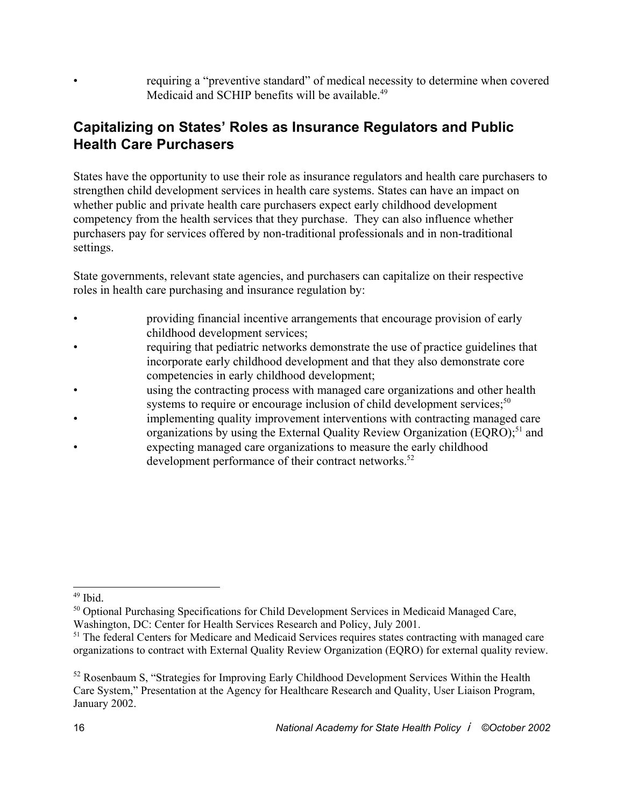• requiring a "preventive standard" of medical necessity to determine when covered Medicaid and SCHIP benefits will be available.<sup>49</sup>

#### **Capitalizing on States' Roles as Insurance Regulators and Public Health Care Purchasers**

States have the opportunity to use their role as insurance regulators and health care purchasers to strengthen child development services in health care systems. States can have an impact on whether public and private health care purchasers expect early childhood development competency from the health services that they purchase. They can also influence whether purchasers pay for services offered by non-traditional professionals and in non-traditional settings.

State governments, relevant state agencies, and purchasers can capitalize on their respective roles in health care purchasing and insurance regulation by:

- providing financial incentive arrangements that encourage provision of early childhood development services;
- requiring that pediatric networks demonstrate the use of practice guidelines that incorporate early childhood development and that they also demonstrate core competencies in early childhood development;
- using the contracting process with managed care organizations and other health systems to require or encourage inclusion of child development services;<sup>50</sup>
- implementing quality improvement interventions with contracting managed care organizations by using the External Quality Review Organization (EQRO);<sup>51</sup> and
- expecting managed care organizations to measure the early childhood development performance of their contract networks.<sup>52</sup>

 $49$  Ibid.

<sup>&</sup>lt;sup>50</sup> Optional Purchasing Specifications for Child Development Services in Medicaid Managed Care, Washington, DC: Center for Health Services Research and Policy, July 2001.

<sup>&</sup>lt;sup>51</sup> The federal Centers for Medicare and Medicaid Services requires states contracting with managed care organizations to contract with External Quality Review Organization (EQRO) for external quality review.

<sup>&</sup>lt;sup>52</sup> Rosenbaum S, "Strategies for Improving Early Childhood Development Services Within the Health Care System," Presentation at the Agency for Healthcare Research and Quality, User Liaison Program, January 2002.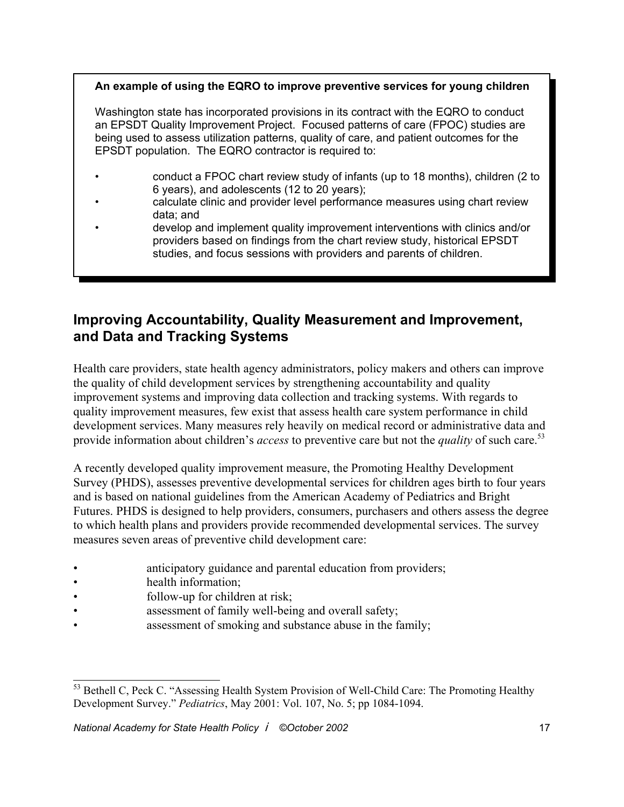#### **An example of using the EQRO to improve preventive services for young children**

 Washington state has incorporated provisions in its contract with the EQRO to conduct an EPSDT Quality Improvement Project. Focused patterns of care (FPOC) studies are being used to assess utilization patterns, quality of care, and patient outcomes for the EPSDT population. The EQRO contractor is required to:

- conduct a FPOC chart review study of infants (up to 18 months), children (2 to 6 years), and adolescents (12 to 20 years);
- calculate clinic and provider level performance measures using chart review data; and
- develop and implement quality improvement interventions with clinics and/or providers based on findings from the chart review study, historical EPSDT studies, and focus sessions with providers and parents of children.

#### **Improving Accountability, Quality Measurement and Improvement, and Data and Tracking Systems**

Health care providers, state health agency administrators, policy makers and others can improve the quality of child development services by strengthening accountability and quality improvement systems and improving data collection and tracking systems. With regards to quality improvement measures, few exist that assess health care system performance in child development services. Many measures rely heavily on medical record or administrative data and provide information about children's *access* to preventive care but not the *quality* of such care.<sup>53</sup>

A recently developed quality improvement measure, the Promoting Healthy Development Survey (PHDS), assesses preventive developmental services for children ages birth to four years and is based on national guidelines from the American Academy of Pediatrics and Bright Futures. PHDS is designed to help providers, consumers, purchasers and others assess the degree to which health plans and providers provide recommended developmental services. The survey measures seven areas of preventive child development care:

- anticipatory guidance and parental education from providers;
- health information;
- follow-up for children at risk:
- assessment of family well-being and overall safety;
- assessment of smoking and substance abuse in the family;

<sup>&</sup>lt;sup>53</sup> Bethell C. Peck C. "Assessing Health System Provision of Well-Child Care: The Promoting Healthy Development Survey." *Pediatrics*, May 2001: Vol. 107, No. 5; pp 1084-1094.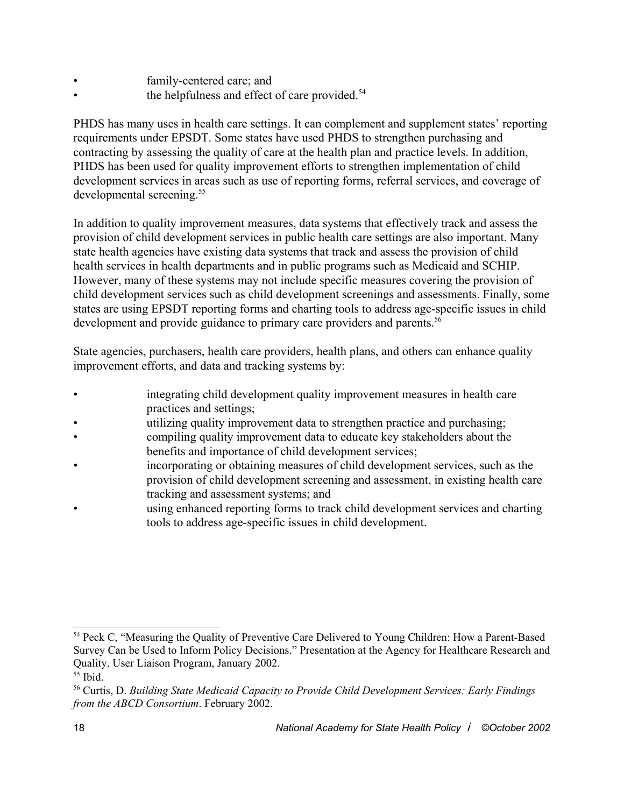- family-centered care; and
- the helpfulness and effect of care provided.<sup>54</sup>

PHDS has many uses in health care settings. It can complement and supplement states' reporting requirements under EPSDT. Some states have used PHDS to strengthen purchasing and contracting by assessing the quality of care at the health plan and practice levels. In addition, PHDS has been used for quality improvement efforts to strengthen implementation of child development services in areas such as use of reporting forms, referral services, and coverage of developmental screening.<sup>55</sup>

In addition to quality improvement measures, data systems that effectively track and assess the provision of child development services in public health care settings are also important. Many state health agencies have existing data systems that track and assess the provision of child health services in health departments and in public programs such as Medicaid and SCHIP. However, many of these systems may not include specific measures covering the provision of child development services such as child development screenings and assessments. Finally, some states are using EPSDT reporting forms and charting tools to address age-specific issues in child development and provide guidance to primary care providers and parents.<sup>56</sup>

State agencies, purchasers, health care providers, health plans, and others can enhance quality improvement efforts, and data and tracking systems by:

- integrating child development quality improvement measures in health care practices and settings;
- utilizing quality improvement data to strengthen practice and purchasing;
- compiling quality improvement data to educate key stakeholders about the benefits and importance of child development services;
- incorporating or obtaining measures of child development services, such as the provision of child development screening and assessment, in existing health care tracking and assessment systems; and
- using enhanced reporting forms to track child development services and charting tools to address age-specific issues in child development.

<sup>&</sup>lt;sup>54</sup> Peck C, "Measuring the Quality of Preventive Care Delivered to Young Children: How a Parent-Based Survey Can be Used to Inform Policy Decisions." Presentation at the Agency for Healthcare Research and Quality, User Liaison Program, January 2002.

 $55$  Ibid.

<sup>56</sup> Curtis, D. *Building State Medicaid Capacity to Provide Child Development Services: Early Findings from the ABCD Consortium*. February 2002.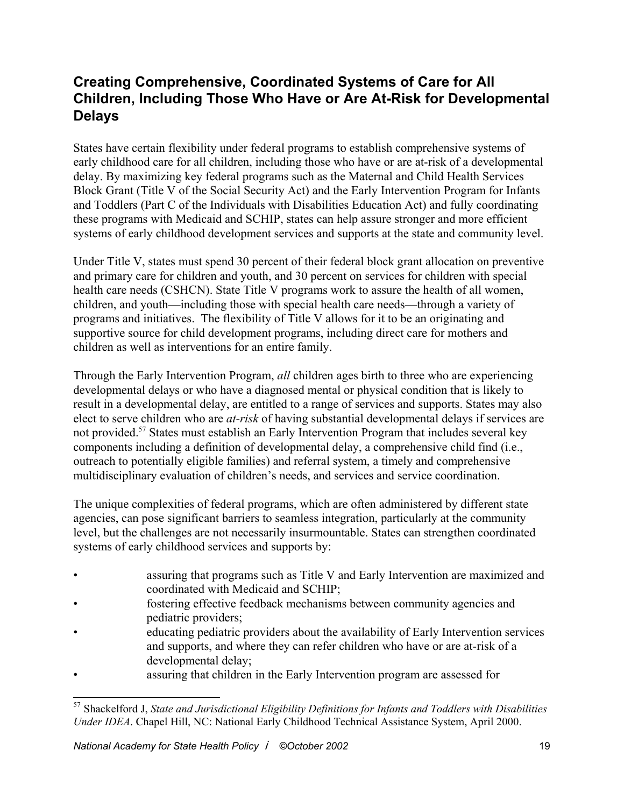#### **Creating Comprehensive, Coordinated Systems of Care for All Children, Including Those Who Have or Are At-Risk for Developmental Delays**

States have certain flexibility under federal programs to establish comprehensive systems of early childhood care for all children, including those who have or are at-risk of a developmental delay. By maximizing key federal programs such as the Maternal and Child Health Services Block Grant (Title V of the Social Security Act) and the Early Intervention Program for Infants and Toddlers (Part C of the Individuals with Disabilities Education Act) and fully coordinating these programs with Medicaid and SCHIP, states can help assure stronger and more efficient systems of early childhood development services and supports at the state and community level.

Under Title V, states must spend 30 percent of their federal block grant allocation on preventive and primary care for children and youth, and 30 percent on services for children with special health care needs (CSHCN). State Title V programs work to assure the health of all women, children, and youth—including those with special health care needs—through a variety of programs and initiatives. The flexibility of Title V allows for it to be an originating and supportive source for child development programs, including direct care for mothers and children as well as interventions for an entire family.

Through the Early Intervention Program, *all* children ages birth to three who are experiencing developmental delays or who have a diagnosed mental or physical condition that is likely to result in a developmental delay, are entitled to a range of services and supports. States may also elect to serve children who are *at-risk* of having substantial developmental delays if services are not provided.<sup>57</sup> States must establish an Early Intervention Program that includes several key components including a definition of developmental delay, a comprehensive child find (i.e., outreach to potentially eligible families) and referral system, a timely and comprehensive multidisciplinary evaluation of children's needs, and services and service coordination.

The unique complexities of federal programs, which are often administered by different state agencies, can pose significant barriers to seamless integration, particularly at the community level, but the challenges are not necessarily insurmountable. States can strengthen coordinated systems of early childhood services and supports by:

- assuring that programs such as Title V and Early Intervention are maximized and coordinated with Medicaid and SCHIP;
- fostering effective feedback mechanisms between community agencies and pediatric providers;
- educating pediatric providers about the availability of Early Intervention services and supports, and where they can refer children who have or are at-risk of a developmental delay;
- assuring that children in the Early Intervention program are assessed for

<sup>57</sup> Shackelford J, *State and Jurisdictional Eligibility Definitions for Infants and Toddlers with Disabilities Under IDEA*. Chapel Hill, NC: National Early Childhood Technical Assistance System, April 2000.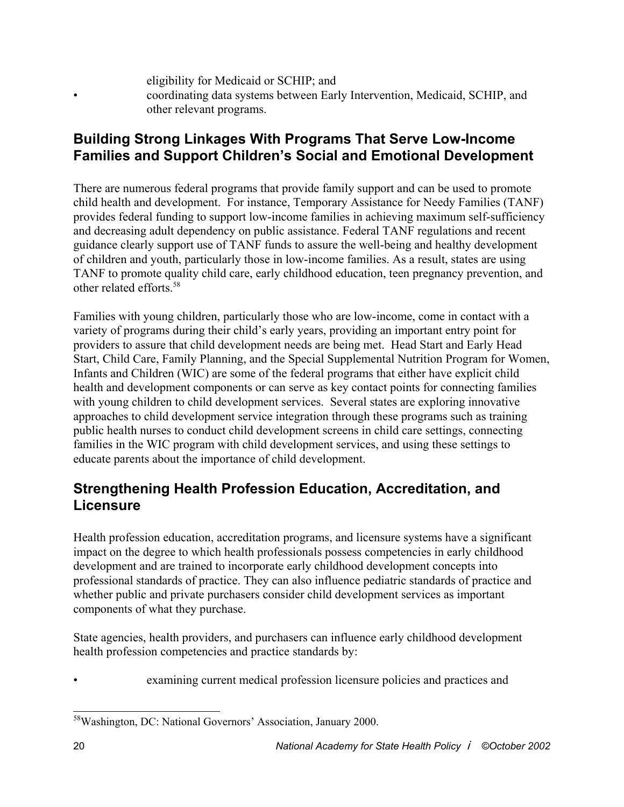eligibility for Medicaid or SCHIP; and • coordinating data systems between Early Intervention, Medicaid, SCHIP, and other relevant programs.

#### **Building Strong Linkages With Programs That Serve Low-Income Families and Support Children's Social and Emotional Development**

There are numerous federal programs that provide family support and can be used to promote child health and development. For instance, Temporary Assistance for Needy Families (TANF) provides federal funding to support low-income families in achieving maximum self-sufficiency and decreasing adult dependency on public assistance. Federal TANF regulations and recent guidance clearly support use of TANF funds to assure the well-being and healthy development of children and youth, particularly those in low-income families. As a result, states are using TANF to promote quality child care, early childhood education, teen pregnancy prevention, and other related efforts<sup>58</sup>

Families with young children, particularly those who are low-income, come in contact with a variety of programs during their child's early years, providing an important entry point for providers to assure that child development needs are being met. Head Start and Early Head Start, Child Care, Family Planning, and the Special Supplemental Nutrition Program for Women, Infants and Children (WIC) are some of the federal programs that either have explicit child health and development components or can serve as key contact points for connecting families with young children to child development services.Several states are exploring innovative approaches to child development service integration through these programs such as training public health nurses to conduct child development screens in child care settings, connecting families in the WIC program with child development services, and using these settings to educate parents about the importance of child development.

#### **Strengthening Health Profession Education, Accreditation, and Licensure**

Health profession education, accreditation programs, and licensure systems have a significant impact on the degree to which health professionals possess competencies in early childhood development and are trained to incorporate early childhood development concepts into professional standards of practice. They can also influence pediatric standards of practice and whether public and private purchasers consider child development services as important components of what they purchase.

State agencies, health providers, and purchasers can influence early childhood development health profession competencies and practice standards by:

examining current medical profession licensure policies and practices and

<sup>58</sup>Washington, DC: National Governors' Association, January 2000.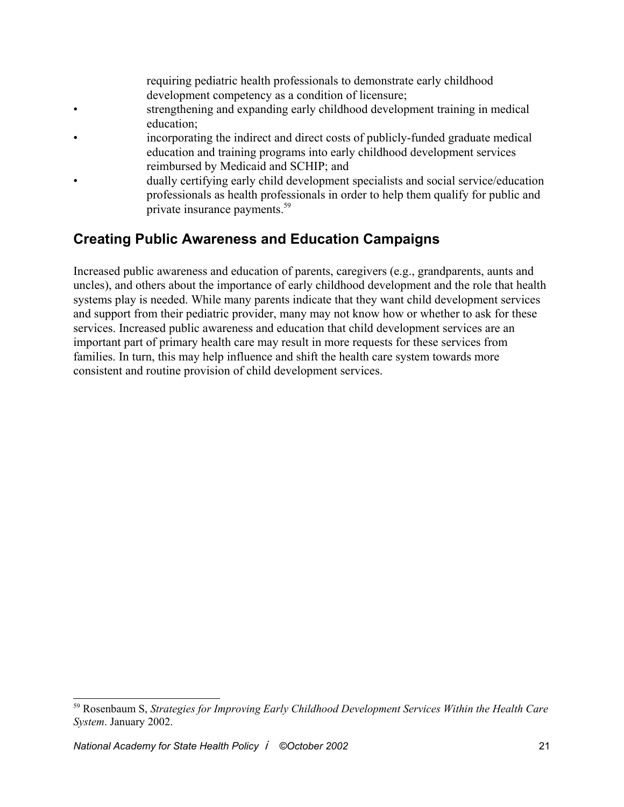requiring pediatric health professionals to demonstrate early childhood development competency as a condition of licensure;

- strengthening and expanding early childhood development training in medical education;
- incorporating the indirect and direct costs of publicly-funded graduate medical education and training programs into early childhood development services reimbursed by Medicaid and SCHIP; and
- dually certifying early child development specialists and social service/education professionals as health professionals in order to help them qualify for public and private insurance payments.59

### **Creating Public Awareness and Education Campaigns**

Increased public awareness and education of parents, caregivers (e.g., grandparents, aunts and uncles), and others about the importance of early childhood development and the role that health systems play is needed. While many parents indicate that they want child development services and support from their pediatric provider, many may not know how or whether to ask for these services. Increased public awareness and education that child development services are an important part of primary health care may result in more requests for these services from families. In turn, this may help influence and shift the health care system towards more consistent and routine provision of child development services.

<sup>59</sup> Rosenbaum S, *Strategies for Improving Early Childhood Development Services Within the Health Care System*. January 2002.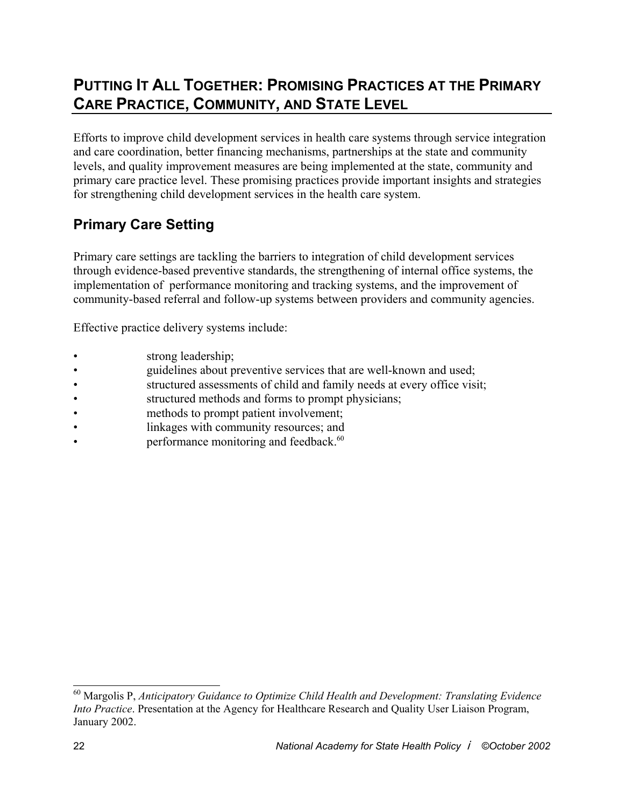## **PUTTING IT ALL TOGETHER: PROMISING PRACTICES AT THE PRIMARY CARE PRACTICE, COMMUNITY, AND STATE LEVEL**

Efforts to improve child development services in health care systems through service integration and care coordination, better financing mechanisms, partnerships at the state and community levels, and quality improvement measures are being implemented at the state, community and primary care practice level. These promising practices provide important insights and strategies for strengthening child development services in the health care system.

### **Primary Care Setting**

Primary care settings are tackling the barriers to integration of child development services through evidence-based preventive standards, the strengthening of internal office systems, the implementation of performance monitoring and tracking systems, and the improvement of community-based referral and follow-up systems between providers and community agencies.

Effective practice delivery systems include:

- strong leadership;
- guidelines about preventive services that are well-known and used;
- structured assessments of child and family needs at every office visit;
- structured methods and forms to prompt physicians;
- methods to prompt patient involvement;
- linkages with community resources; and
- performance monitoring and feedback.<sup>60</sup>

<sup>60</sup> Margolis P, *Anticipatory Guidance to Optimize Child Health and Development: Translating Evidence Into Practice*. Presentation at the Agency for Healthcare Research and Quality User Liaison Program, January 2002.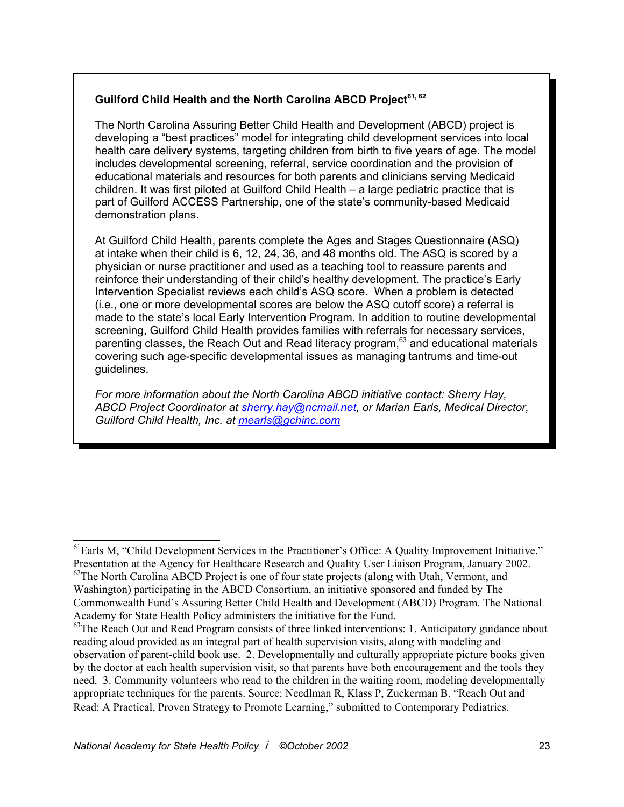#### Guilford Child Health and the North Carolina ABCD Proiect<sup>61, 62</sup>

 The North Carolina Assuring Better Child Health and Development (ABCD) project is developing a "best practices" model for integrating child development services into local health care delivery systems, targeting children from birth to five years of age. The model includes developmental screening, referral, service coordination and the provision of educational materials and resources for both parents and clinicians serving Medicaid children. It was first piloted at Guilford Child Health – a large pediatric practice that is part of Guilford ACCESS Partnership, one of the state's community-based Medicaid demonstration plans.

 At Guilford Child Health, parents complete the Ages and Stages Questionnaire (ASQ) at intake when their child is 6, 12, 24, 36, and 48 months old. The ASQ is scored by a physician or nurse practitioner and used as a teaching tool to reassure parents and reinforce their understanding of their child's healthy development. The practice's Early Intervention Specialist reviews each child's ASQ score. When a problem is detected (i.e., one or more developmental scores are below the ASQ cutoff score) a referral is made to the state's local Early Intervention Program. In addition to routine developmental screening, Guilford Child Health provides families with referrals for necessary services, parenting classes, the Reach Out and Read literacy program, $63$  and educational materials covering such age-specific developmental issues as managing tantrums and time-out guidelines.

 *For more information about the North Carolina ABCD initiative contact: Sherry Hay, ABCD Project Coordinator at sherry.hay@ncmail.net, or Marian Earls, Medical Director, Guilford Child Health, Inc. at mearls@gchinc.com*

<sup>&</sup>lt;sup>61</sup>Earls M, "Child Development Services in the Practitioner's Office: A Quality Improvement Initiative." Presentation at the Agency for Healthcare Research and Quality User Liaison Program, January 2002. <sup>62</sup>The North Carolina ABCD Project is one of four state projects (along with Utah, Vermont, and Washington) participating in the ABCD Consortium, an initiative sponsored and funded by The Commonwealth Fund's Assuring Better Child Health and Development (ABCD) Program. The National Academy for State Health Policy administers the initiative for the Fund.

<sup>&</sup>lt;sup>63</sup>The Reach Out and Read Program consists of three linked interventions: 1. Anticipatory guidance about reading aloud provided as an integral part of health supervision visits, along with modeling and observation of parent-child book use. 2. Developmentally and culturally appropriate picture books given by the doctor at each health supervision visit, so that parents have both encouragement and the tools they need. 3. Community volunteers who read to the children in the waiting room, modeling developmentally appropriate techniques for the parents. Source: Needlman R, Klass P, Zuckerman B. "Reach Out and Read: A Practical, Proven Strategy to Promote Learning," submitted to Contemporary Pediatrics.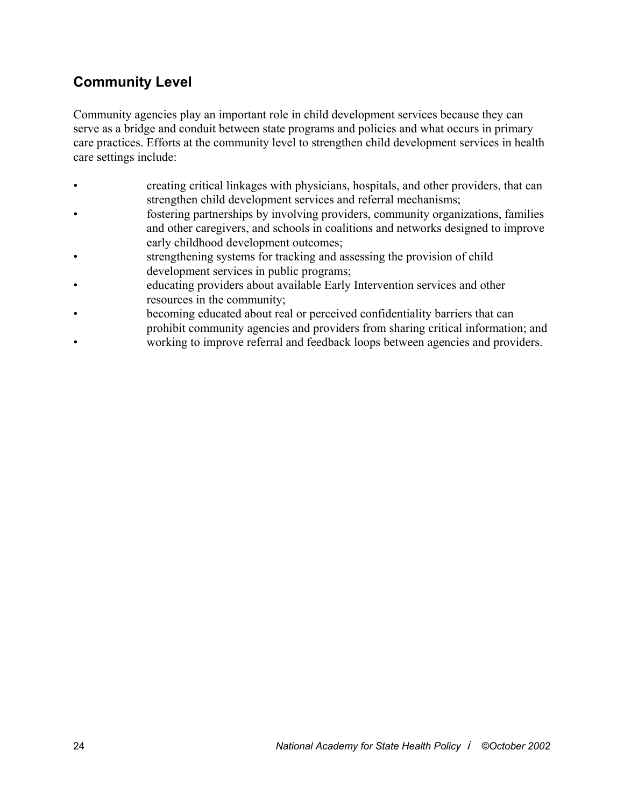### **Community Level**

Community agencies play an important role in child development services because they can serve as a bridge and conduit between state programs and policies and what occurs in primary care practices. Efforts at the community level to strengthen child development services in health care settings include:

- creating critical linkages with physicians, hospitals, and other providers, that can strengthen child development services and referral mechanisms;
- fostering partnerships by involving providers, community organizations, families and other caregivers, and schools in coalitions and networks designed to improve early childhood development outcomes;
- strengthening systems for tracking and assessing the provision of child development services in public programs;
- educating providers about available Early Intervention services and other resources in the community;
- becoming educated about real or perceived confidentiality barriers that can prohibit community agencies and providers from sharing critical information; and
- working to improve referral and feedback loops between agencies and providers.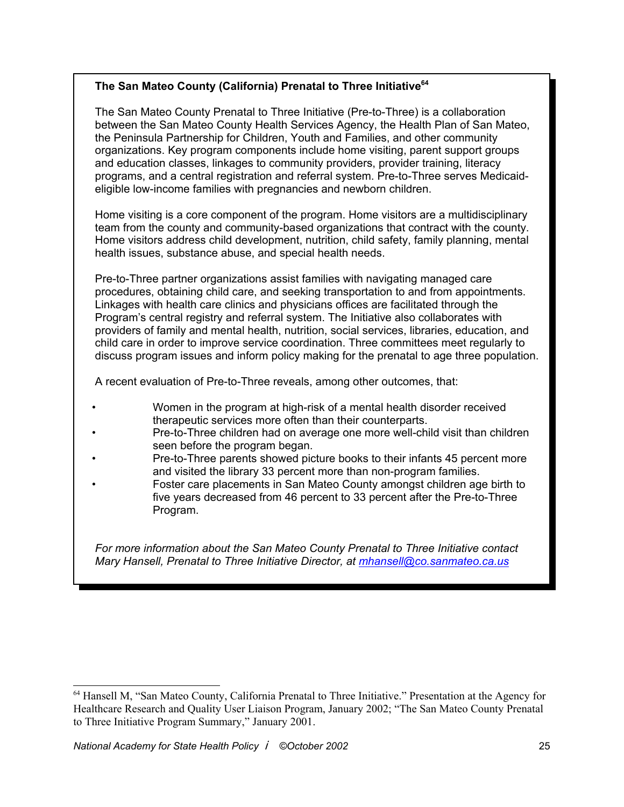#### **The San Mateo County (California) Prenatal to Three Initiative64**

 The San Mateo County Prenatal to Three Initiative (Pre-to-Three) is a collaboration between the San Mateo County Health Services Agency, the Health Plan of San Mateo, the Peninsula Partnership for Children, Youth and Families, and other community organizations. Key program components include home visiting, parent support groups and education classes, linkages to community providers, provider training, literacy programs, and a central registration and referral system. Pre-to-Three serves Medicaid eligible low-income families with pregnancies and newborn children.

 Home visiting is a core component of the program. Home visitors are a multidisciplinary team from the county and community-based organizations that contract with the county. Home visitors address child development, nutrition, child safety, family planning, mental health issues, substance abuse, and special health needs.

 Pre-to-Three partner organizations assist families with navigating managed care procedures, obtaining child care, and seeking transportation to and from appointments. Linkages with health care clinics and physicians offices are facilitated through the Program's central registry and referral system. The Initiative also collaborates with providers of family and mental health, nutrition, social services, libraries, education, and child care in order to improve service coordination. Three committees meet regularly to discuss program issues and inform policy making for the prenatal to age three population.

A recent evaluation of Pre-to-Three reveals, among other outcomes, that:

- Women in the program at high-risk of a mental health disorder received therapeutic services more often than their counterparts.
- Pre-to-Three children had on average one more well-child visit than children seen before the program began.
- Pre-to-Three parents showed picture books to their infants 45 percent more and visited the library 33 percent more than non-program families.
- Foster care placements in San Mateo County amongst children age birth to five years decreased from 46 percent to 33 percent after the Pre-to-Three Program.

 *For more information about the San Mateo County Prenatal to Three Initiative contact Mary Hansell, Prenatal to Three Initiative Director, at mhansell@co.sanmateo.ca.us*

<sup>64</sup> Hansell M, "San Mateo County, California Prenatal to Three Initiative." Presentation at the Agency for Healthcare Research and Quality User Liaison Program, January 2002; "The San Mateo County Prenatal to Three Initiative Program Summary," January 2001.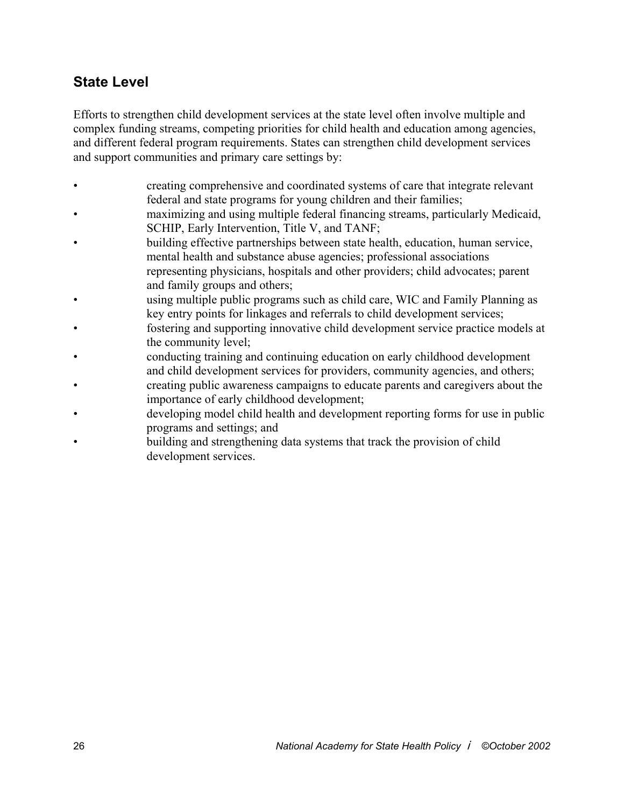#### **State Level**

Efforts to strengthen child development services at the state level often involve multiple and complex funding streams, competing priorities for child health and education among agencies, and different federal program requirements. States can strengthen child development services and support communities and primary care settings by:

- creating comprehensive and coordinated systems of care that integrate relevant federal and state programs for young children and their families;
- maximizing and using multiple federal financing streams, particularly Medicaid, SCHIP, Early Intervention, Title V, and TANF;
- building effective partnerships between state health, education, human service, mental health and substance abuse agencies; professional associations representing physicians, hospitals and other providers; child advocates; parent and family groups and others;
- using multiple public programs such as child care, WIC and Family Planning as key entry points for linkages and referrals to child development services;
- fostering and supporting innovative child development service practice models at the community level;
- conducting training and continuing education on early childhood development and child development services for providers, community agencies, and others;
- creating public awareness campaigns to educate parents and caregivers about the importance of early childhood development;
- developing model child health and development reporting forms for use in public programs and settings; and
- building and strengthening data systems that track the provision of child development services.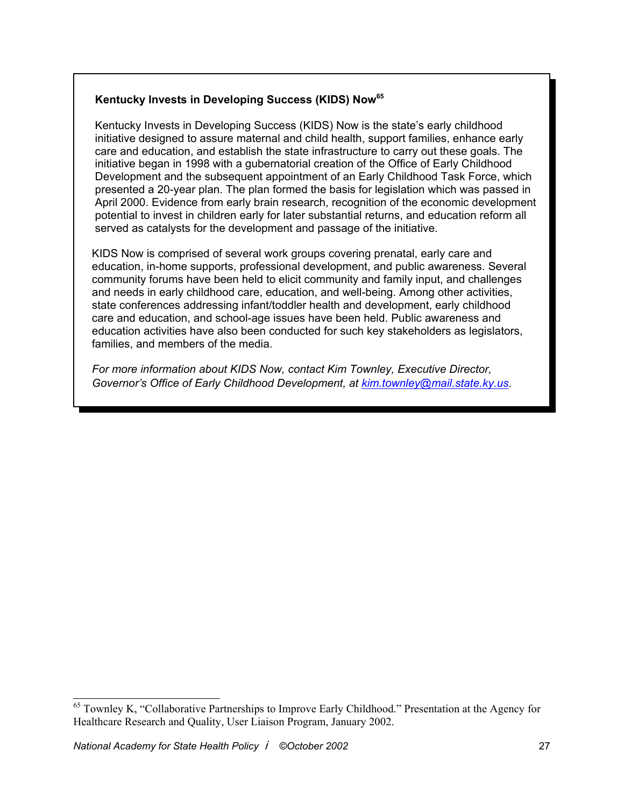#### **Kentucky Invests in Developing Success (KIDS) Now65**

 Kentucky Invests in Developing Success (KIDS) Now is the state's early childhood initiative designed to assure maternal and child health, support families, enhance early care and education, and establish the state infrastructure to carry out these goals. The initiative began in 1998 with a gubernatorial creation of the Office of Early Childhood Development and the subsequent appointment of an Early Childhood Task Force, which presented a 20-year plan. The plan formed the basis for legislation which was passed in April 2000. Evidence from early brain research, recognition of the economic development potential to invest in children early for later substantial returns, and education reform all served as catalysts for the development and passage of the initiative.

 KIDS Now is comprised of several work groups covering prenatal, early care and education, in-home supports, professional development, and public awareness. Several community forums have been held to elicit community and family input, and challenges and needs in early childhood care, education, and well-being. Among other activities, state conferences addressing infant/toddler health and development, early childhood care and education, and school-age issues have been held. Public awareness and education activities have also been conducted for such key stakeholders as legislators, families, and members of the media.

 *For more information about KIDS Now, contact Kim Townley, Executive Director, Governor's Office of Early Childhood Development, at kim.townley@mail.state.ky.us*.

<sup>&</sup>lt;sup>65</sup> Townley K, "Collaborative Partnerships to Improve Early Childhood." Presentation at the Agency for Healthcare Research and Quality, User Liaison Program, January 2002.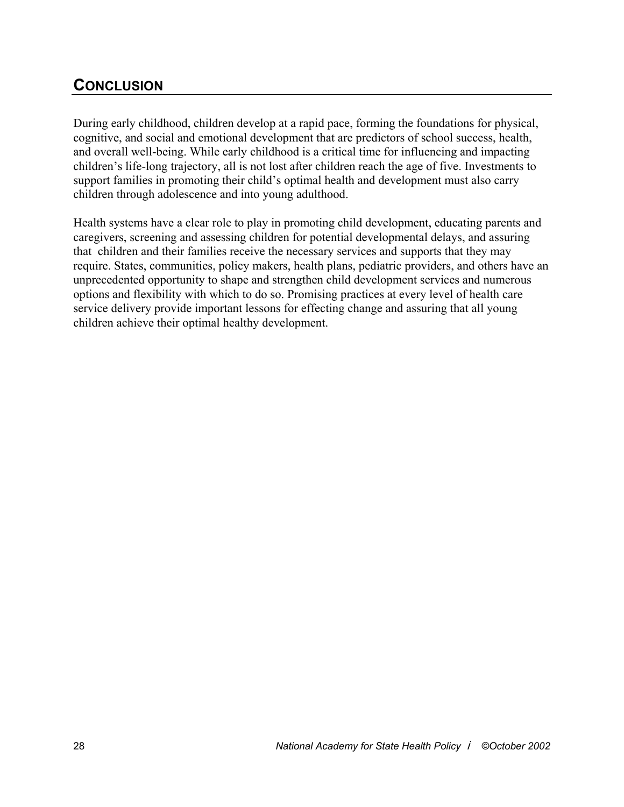### **CONCLUSION**

During early childhood, children develop at a rapid pace, forming the foundations for physical, cognitive, and social and emotional development that are predictors of school success, health, and overall well-being. While early childhood is a critical time for influencing and impacting children's life-long trajectory, all is not lost after children reach the age of five. Investments to support families in promoting their child's optimal health and development must also carry children through adolescence and into young adulthood.

Health systems have a clear role to play in promoting child development, educating parents and caregivers, screening and assessing children for potential developmental delays, and assuring that children and their families receive the necessary services and supports that they may require. States, communities, policy makers, health plans, pediatric providers, and others have an unprecedented opportunity to shape and strengthen child development services and numerous options and flexibility with which to do so. Promising practices at every level of health care service delivery provide important lessons for effecting change and assuring that all young children achieve their optimal healthy development.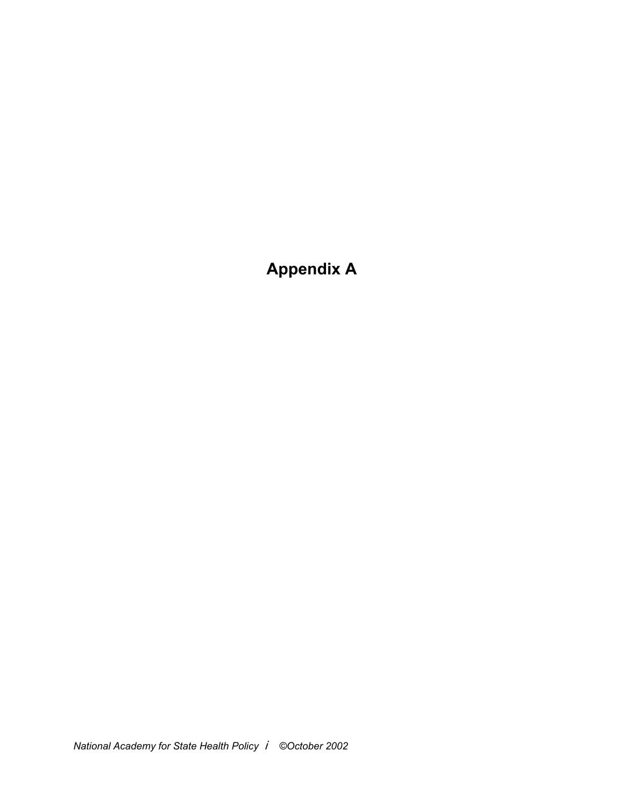## **Appendix A**